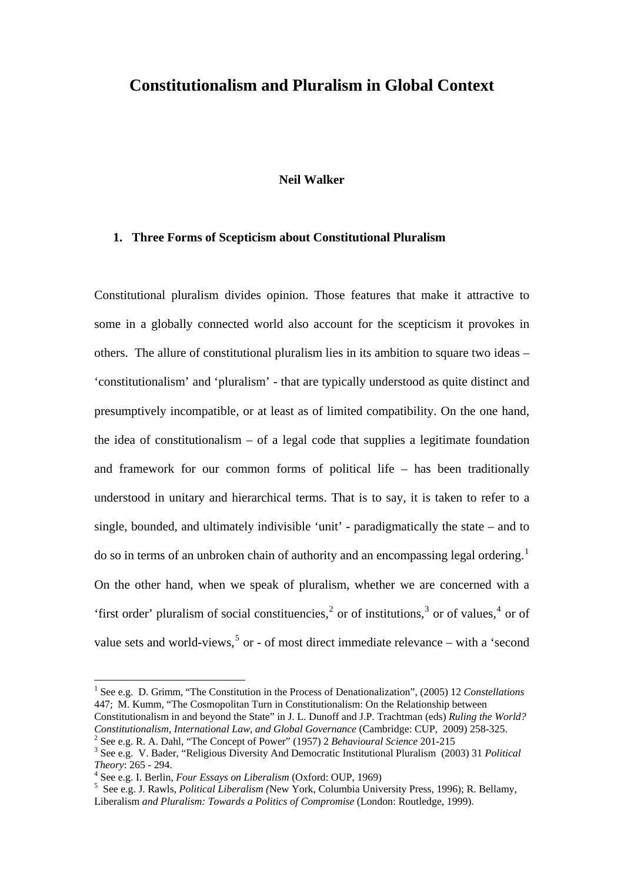# **Constitutionalism and Pluralism in Global Context**

### **Neil Walker**

### **1. Three Forms of Scepticism about Constitutional Pluralism**

Constitutional pluralism divides opinion. Those features that make it attractive to some in a globally connected world also account for the scepticism it provokes in others. The allure of constitutional pluralism lies in its ambition to square two ideas  $-$ 'constitutionalism' and 'pluralism' - that are typically understood as quite distinct and presumptively incompatible, or at least as of limited compatibility. On the one hand, the idea of constitutionalism – of a legal code that supplies a legitimate foundation and framework for our common forms of political life – has been traditionally understood in unitary and hierarchical terms. That is to say, it is taken to refer to a single, bounded, and ultimately indivisible 'unit' - paradigmatically the state – and to do so in terms of an unbroken chain of authority and an encompassing legal ordering.<sup>[1](#page-0-0)</sup> On the other hand, when we speak of pluralism, whether we are concerned with a 'first order' pluralism of social constituencies,<sup>[2](#page-0-1)</sup> or of institutions,<sup>[3](#page-0-2)</sup> or of values,<sup>[4](#page-0-3)</sup> or of value sets and world-views,<sup>[5](#page-0-4)</sup> or - of most direct immediate relevance – with a 'second

<span id="page-0-0"></span><sup>&</sup>lt;sup>1</sup> See e.g. D. Grimm, "The Constitution in the Process of Denationalization", (2005) 12 *Constellations* 447; M. Kumm, "The Cosmopolitan Turn in Constitutionalism: On the Relationship between Constitutionalism in and beyond the State" in J. L. Dunoff and J.P. Trachtman (eds) *Ruling the World?* 

*Constitutionalism, International Law, and Global Governance (Cambridge: CUP, 2009) 258-325.*<br><sup>2</sup> See e.g. B. A. Debl. "The Consent of Boyer" (1957) 2 Behmisuum! Science 201, 215

<span id="page-0-2"></span><span id="page-0-1"></span><sup>&</sup>lt;sup>2</sup> See e.g. R. A. Dahl, "The Concept of Power" (1957) 2 *Behavioural Science* 201-215<br><sup>3</sup> See e.g. *N. Beder*, "Pelicieus Diversity And Democratic Institutional Pluralism. (200 <sup>3</sup> See e.g. V. Bader, "Religious Diversity And Democratic Institutional Pluralism (2003) 31 *Political Theory*: 265 - 294. 4

See e.g. I. Berlin, *Four Essays on Liberalism* (Oxford: OUP, 1969) 5

<span id="page-0-4"></span><span id="page-0-3"></span>See e.g. J. Rawls, *Political Liberalism (*New York, Columbia University Press, 1996); R. Bellamy,

Liberalism *and Pluralism: Towards a Politics of Compromise* (London: Routledge, 1999).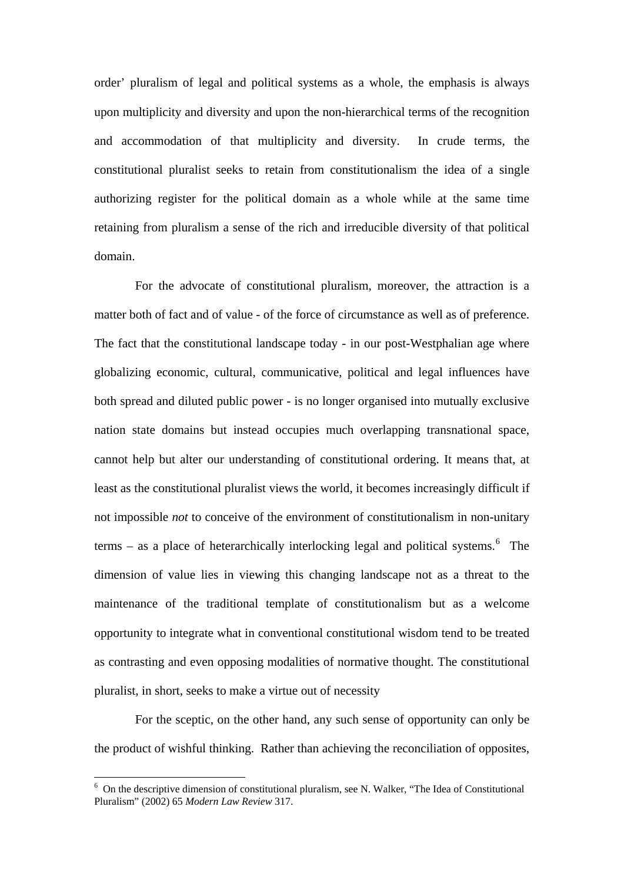order' pluralism of legal and political systems as a whole, the emphasis is always upon multiplicity and diversity and upon the non-hierarchical terms of the recognition and accommodation of that multiplicity and diversity. In crude terms, the constitutional pluralist seeks to retain from constitutionalism the idea of a single authorizing register for the political domain as a whole while at the same time retaining from pluralism a sense of the rich and irreducible diversity of that political domain.

 For the advocate of constitutional pluralism, moreover, the attraction is a matter both of fact and of value - of the force of circumstance as well as of preference. The fact that the constitutional landscape today - in our post-Westphalian age where globalizing economic, cultural, communicative, political and legal influences have both spread and diluted public power - is no longer organised into mutually exclusive nation state domains but instead occupies much overlapping transnational space, cannot help but alter our understanding of constitutional ordering. It means that, at least as the constitutional pluralist views the world, it becomes increasingly difficult if not impossible *not* to conceive of the environment of constitutionalism in non-unitary terms  $-$  as a place of heterarchically interlocking legal and political systems.<sup>[6](#page-1-0)</sup> The dimension of value lies in viewing this changing landscape not as a threat to the maintenance of the traditional template of constitutionalism but as a welcome opportunity to integrate what in conventional constitutional wisdom tend to be treated as contrasting and even opposing modalities of normative thought. The constitutional pluralist, in short, seeks to make a virtue out of necessity

 For the sceptic, on the other hand, any such sense of opportunity can only be the product of wishful thinking. Rather than achieving the reconciliation of opposites,

<span id="page-1-0"></span><sup>&</sup>lt;sup>6</sup> On the descriptive dimension of constitutional pluralism, see N. Walker, "The Idea of Constitutional Pluralism" (2002) 65 *Modern Law Review* 317.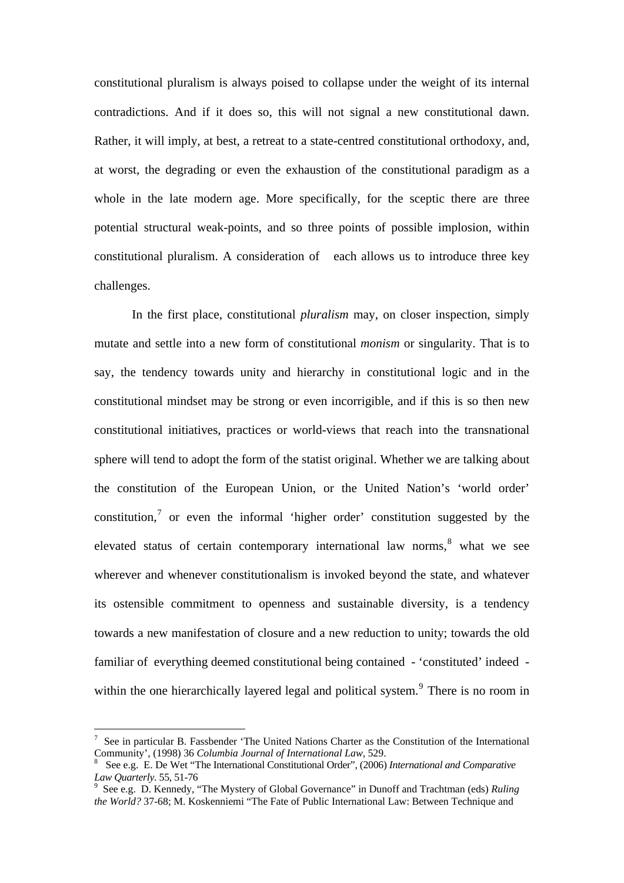constitutional pluralism is always poised to collapse under the weight of its internal contradictions. And if it does so, this will not signal a new constitutional dawn. Rather, it will imply, at best, a retreat to a state-centred constitutional orthodoxy, and, at worst, the degrading or even the exhaustion of the constitutional paradigm as a whole in the late modern age. More specifically, for the sceptic there are three potential structural weak-points, and so three points of possible implosion, within constitutional pluralism. A consideration of each allows us to introduce three key challenges.

In the first place, constitutional *pluralism* may, on closer inspection, simply mutate and settle into a new form of constitutional *monism* or singularity. That is to say, the tendency towards unity and hierarchy in constitutional logic and in the constitutional mindset may be strong or even incorrigible, and if this is so then new constitutional initiatives, practices or world-views that reach into the transnational sphere will tend to adopt the form of the statist original. Whether we are talking about the constitution of the European Union, or the United Nation's 'world order' constitution,<sup>[7](#page-2-0)</sup> or even the informal 'higher order' constitution suggested by the elevated status of certain contemporary international law norms, $<sup>8</sup>$  $<sup>8</sup>$  $<sup>8</sup>$  what we see</sup> wherever and whenever constitutionalism is invoked beyond the state, and whatever its ostensible commitment to openness and sustainable diversity, is a tendency towards a new manifestation of closure and a new reduction to unity; towards the old familiar of everything deemed constitutional being contained - 'constituted' indeed - within the one hierarchically layered legal and political system.<sup>[9](#page-2-2)</sup> There is no room in

<span id="page-2-0"></span><sup>7</sup> See in particular B. Fassbender 'The United Nations Charter as the Constitution of the International Community', (1998) 36 *Columbia Journal of International Law,* 529.

<span id="page-2-1"></span>See e.g. E. De Wet "The International Constitutional Order", (2006) *International and Comparative Law Quarterly*, 55, 51-76

<span id="page-2-2"></span><sup>&</sup>lt;sup>9</sup> See e.g. D. Kennedy, "The Mystery of Global Governance" in Dunoff and Trachtman (eds) *Ruling the World?* 37-68; M. Koskenniemi "The Fate of Public International Law: Between Technique and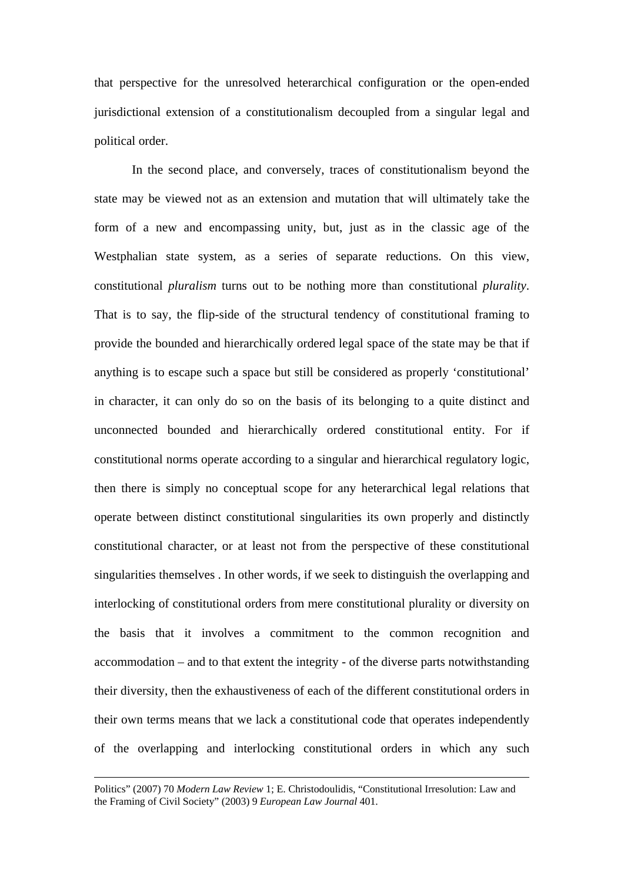that perspective for the unresolved heterarchical configuration or the open-ended jurisdictional extension of a constitutionalism decoupled from a singular legal and political order.

In the second place, and conversely, traces of constitutionalism beyond the state may be viewed not as an extension and mutation that will ultimately take the form of a new and encompassing unity, but, just as in the classic age of the Westphalian state system, as a series of separate reductions. On this view, constitutional *pluralism* turns out to be nothing more than constitutional *plurality*. That is to say, the flip-side of the structural tendency of constitutional framing to provide the bounded and hierarchically ordered legal space of the state may be that if anything is to escape such a space but still be considered as properly 'constitutional' in character, it can only do so on the basis of its belonging to a quite distinct and unconnected bounded and hierarchically ordered constitutional entity. For if constitutional norms operate according to a singular and hierarchical regulatory logic, then there is simply no conceptual scope for any heterarchical legal relations that operate between distinct constitutional singularities its own properly and distinctly constitutional character, or at least not from the perspective of these constitutional singularities themselves . In other words, if we seek to distinguish the overlapping and interlocking of constitutional orders from mere constitutional plurality or diversity on the basis that it involves a commitment to the common recognition and accommodation – and to that extent the integrity - of the diverse parts notwithstanding their diversity, then the exhaustiveness of each of the different constitutional orders in their own terms means that we lack a constitutional code that operates independently of the overlapping and interlocking constitutional orders in which any such

Politics" (2007) 70 *Modern Law Review* 1; E. Christodoulidis, "Constitutional Irresolution: Law and the Framing of Civil Society" (2003) 9 *European Law Journal* 401.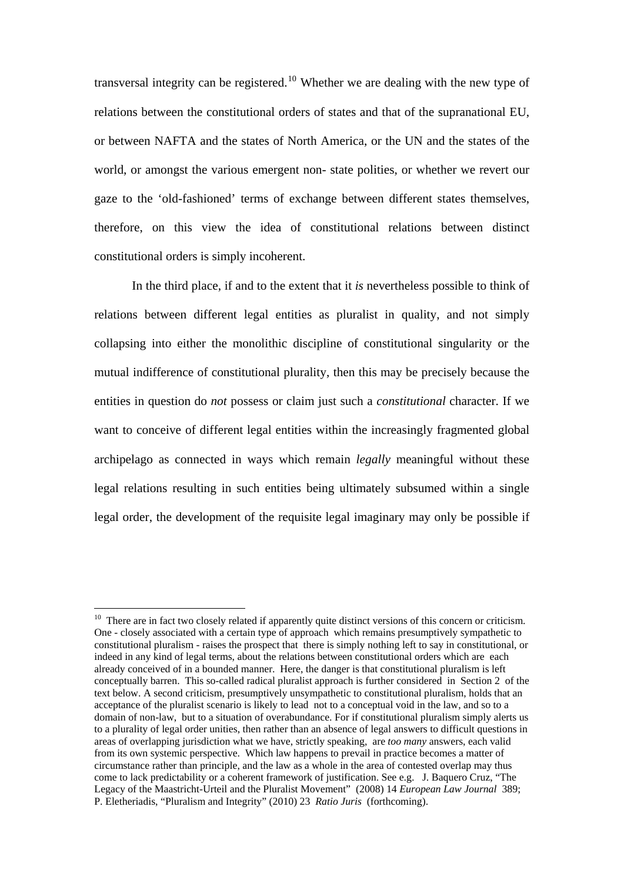transversal integrity can be registered.<sup>[10](#page-4-0)</sup> Whether we are dealing with the new type of relations between the constitutional orders of states and that of the supranational EU, or between NAFTA and the states of North America, or the UN and the states of the world, or amongst the various emergent non- state polities, or whether we revert our gaze to the 'old-fashioned' terms of exchange between different states themselves, therefore, on this view the idea of constitutional relations between distinct constitutional orders is simply incoherent.

In the third place, if and to the extent that it *is* nevertheless possible to think of relations between different legal entities as pluralist in quality, and not simply collapsing into either the monolithic discipline of constitutional singularity or the mutual indifference of constitutional plurality, then this may be precisely because the entities in question do *not* possess or claim just such a *constitutional* character. If we want to conceive of different legal entities within the increasingly fragmented global archipelago as connected in ways which remain *legally* meaningful without these legal relations resulting in such entities being ultimately subsumed within a single legal order, the development of the requisite legal imaginary may only be possible if

<span id="page-4-0"></span><sup>&</sup>lt;sup>10</sup> There are in fact two closely related if apparently quite distinct versions of this concern or criticism. One - closely associated with a certain type of approach which remains presumptively sympathetic to constitutional pluralism - raises the prospect that there is simply nothing left to say in constitutional, or indeed in any kind of legal terms, about the relations between constitutional orders which are each already conceived of in a bounded manner. Here, the danger is that constitutional pluralism is left conceptually barren. This so-called radical pluralist approach is further considered in Section 2 of the text below. A second criticism, presumptively unsympathetic to constitutional pluralism, holds that an acceptance of the pluralist scenario is likely to lead not to a conceptual void in the law, and so to a domain of non-law, but to a situation of overabundance. For if constitutional pluralism simply alerts us to a plurality of legal order unities, then rather than an absence of legal answers to difficult questions in areas of overlapping jurisdiction what we have, strictly speaking, are *too many* answers, each valid from its own systemic perspective. Which law happens to prevail in practice becomes a matter of circumstance rather than principle, and the law as a whole in the area of contested overlap may thus come to lack predictability or a coherent framework of justification. See e.g. J. Baquero Cruz, "The Legacy of the Maastricht-Urteil and the Pluralist Movement" (2008) 14 *European Law Journal* 389; P. Eletheriadis, "Pluralism and Integrity" (2010) 23 *Ratio Juris* (forthcoming).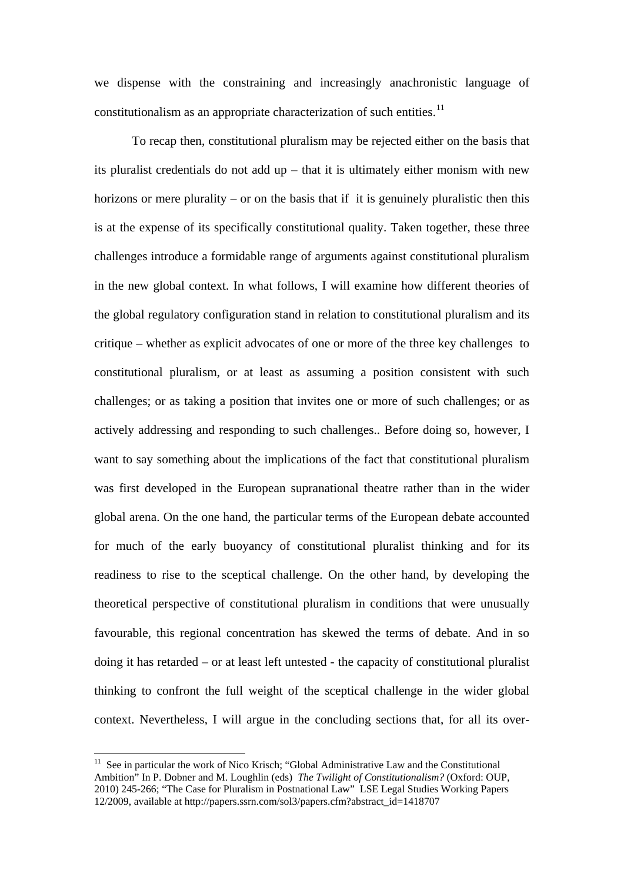we dispense with the constraining and increasingly anachronistic language of constitutionalism as an appropriate characterization of such entities.<sup>[11](#page-5-0)</sup>

To recap then, constitutional pluralism may be rejected either on the basis that its pluralist credentials do not add up – that it is ultimately either monism with new horizons or mere plurality – or on the basis that if it is genuinely pluralistic then this is at the expense of its specifically constitutional quality. Taken together, these three challenges introduce a formidable range of arguments against constitutional pluralism in the new global context. In what follows, I will examine how different theories of the global regulatory configuration stand in relation to constitutional pluralism and its critique – whether as explicit advocates of one or more of the three key challenges to constitutional pluralism, or at least as assuming a position consistent with such challenges; or as taking a position that invites one or more of such challenges; or as actively addressing and responding to such challenges.. Before doing so, however, I want to say something about the implications of the fact that constitutional pluralism was first developed in the European supranational theatre rather than in the wider global arena. On the one hand, the particular terms of the European debate accounted for much of the early buoyancy of constitutional pluralist thinking and for its readiness to rise to the sceptical challenge. On the other hand, by developing the theoretical perspective of constitutional pluralism in conditions that were unusually favourable, this regional concentration has skewed the terms of debate. And in so doing it has retarded – or at least left untested - the capacity of constitutional pluralist thinking to confront the full weight of the sceptical challenge in the wider global context. Nevertheless, I will argue in the concluding sections that, for all its over-

<span id="page-5-0"></span><sup>&</sup>lt;sup>11</sup> See in particular the work of Nico Krisch; "Global Administrative Law and the Constitutional Ambition" In P. Dobner and M. Loughlin (eds) *The Twilight of Constitutionalism?* (Oxford: OUP, 2010) 245-266; "The Case for Pluralism in Postnational Law" LSE Legal Studies Working Papers 12/2009, available at http://papers.ssrn.com/sol3/papers.cfm?abstract\_id=1418707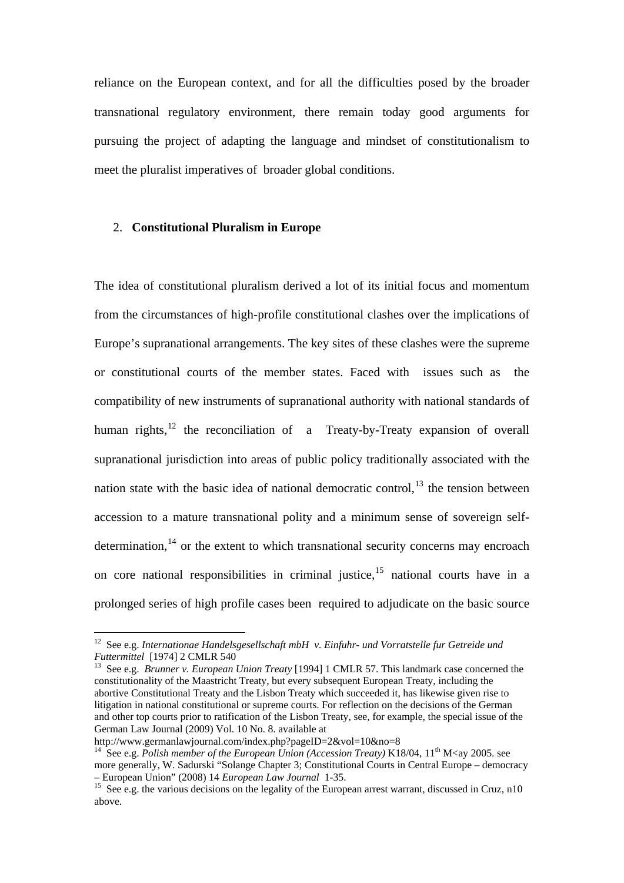reliance on the European context, and for all the difficulties posed by the broader transnational regulatory environment, there remain today good arguments for pursuing the project of adapting the language and mindset of constitutionalism to meet the pluralist imperatives of broader global conditions.

# 2. **Constitutional Pluralism in Europe**

The idea of constitutional pluralism derived a lot of its initial focus and momentum from the circumstances of high-profile constitutional clashes over the implications of Europe's supranational arrangements. The key sites of these clashes were the supreme or constitutional courts of the member states. Faced with issues such as the compatibility of new instruments of supranational authority with national standards of human rights, $12$  the reconciliation of a Treaty-by-Treaty expansion of overall supranational jurisdiction into areas of public policy traditionally associated with the nation state with the basic idea of national democratic control,  $^{13}$  $^{13}$  $^{13}$  the tension between accession to a mature transnational polity and a minimum sense of sovereign selfdetermination, $14$  or the extent to which transnational security concerns may encroach on core national responsibilities in criminal justice, $15$  national courts have in a prolonged series of high profile cases been required to adjudicate on the basic source

<span id="page-6-1"></span>constitutionality of the Maastricht Treaty, but every subsequent European Treaty, including the abortive Constitutional Treaty and the Lisbon Treaty which succeeded it, has likewise given rise to litigation in national constitutional or supreme courts. For reflection on the decisions of the German and other top courts prior to ratification of the Lisbon Treaty, see, for example, the special issue of the German Law Journal (2009) Vol. 10 No. 8. available at http://www.germanlawjournal.com/index.php?pageID=2&vol=10&no=8

<span id="page-6-0"></span><sup>12</sup> See e.g. *Internationae Handelsgesellschaft mbH v. Einfuhr- und Vorratstelle fur Getreide und Futtermittel* [1974] 2 CMLR 540<br><sup>13</sup> See e.g. *Brunner v. European Union Treaty* [1994] 1 CMLR 57. This landmark case concerned the

<span id="page-6-2"></span><sup>&</sup>lt;sup>14</sup> See e.g. *Polish member of the European Union (Accession Treaty)* K18/04, 11<sup>th</sup> M<ay 2005. see more generally, W. Sadurski "Solange Chapter 3; Constitutional Courts in Central Europe – democracy – European Union" (2008) 14 *European Law Journal* 1-35.<br><sup>15</sup> See e.g. the various decisions on the legality of the European arrest warrant, discussed in Cruz, n10

<span id="page-6-3"></span>above.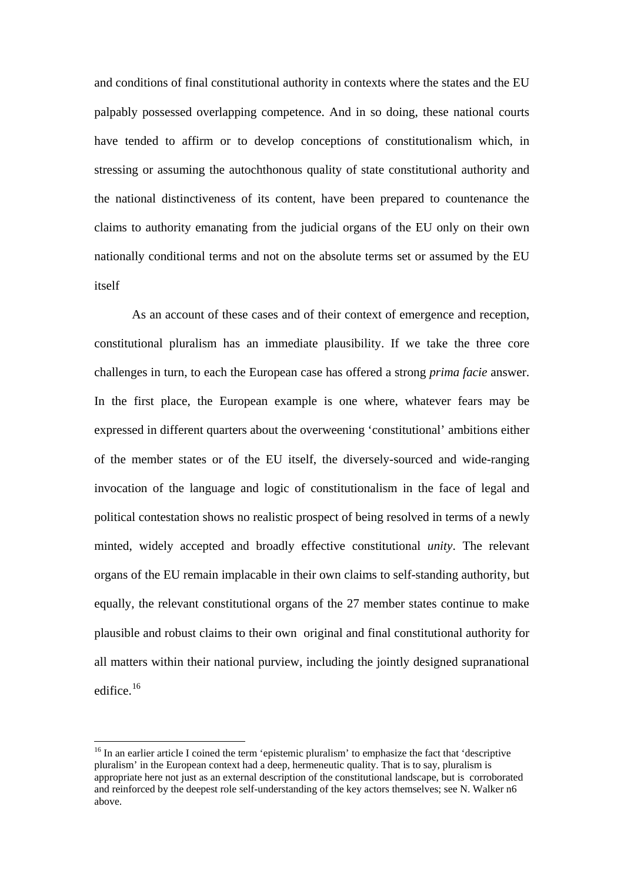and conditions of final constitutional authority in contexts where the states and the EU palpably possessed overlapping competence. And in so doing, these national courts have tended to affirm or to develop conceptions of constitutionalism which, in stressing or assuming the autochthonous quality of state constitutional authority and the national distinctiveness of its content, have been prepared to countenance the claims to authority emanating from the judicial organs of the EU only on their own nationally conditional terms and not on the absolute terms set or assumed by the EU itself

As an account of these cases and of their context of emergence and reception, constitutional pluralism has an immediate plausibility. If we take the three core challenges in turn, to each the European case has offered a strong *prima facie* answer. In the first place, the European example is one where, whatever fears may be expressed in different quarters about the overweening 'constitutional' ambitions either of the member states or of the EU itself, the diversely-sourced and wide-ranging invocation of the language and logic of constitutionalism in the face of legal and political contestation shows no realistic prospect of being resolved in terms of a newly minted, widely accepted and broadly effective constitutional *unity*. The relevant organs of the EU remain implacable in their own claims to self-standing authority, but equally, the relevant constitutional organs of the 27 member states continue to make plausible and robust claims to their own original and final constitutional authority for all matters within their national purview, including the jointly designed supranational edifice.<sup>[16](#page-7-0)</sup>

<span id="page-7-0"></span><sup>&</sup>lt;sup>16</sup> In an earlier article I coined the term 'epistemic pluralism' to emphasize the fact that 'descriptive pluralism' in the European context had a deep, hermeneutic quality. That is to say, pluralism is appropriate here not just as an external description of the constitutional landscape, but is corroborated and reinforced by the deepest role self-understanding of the key actors themselves; see N. Walker n6 above.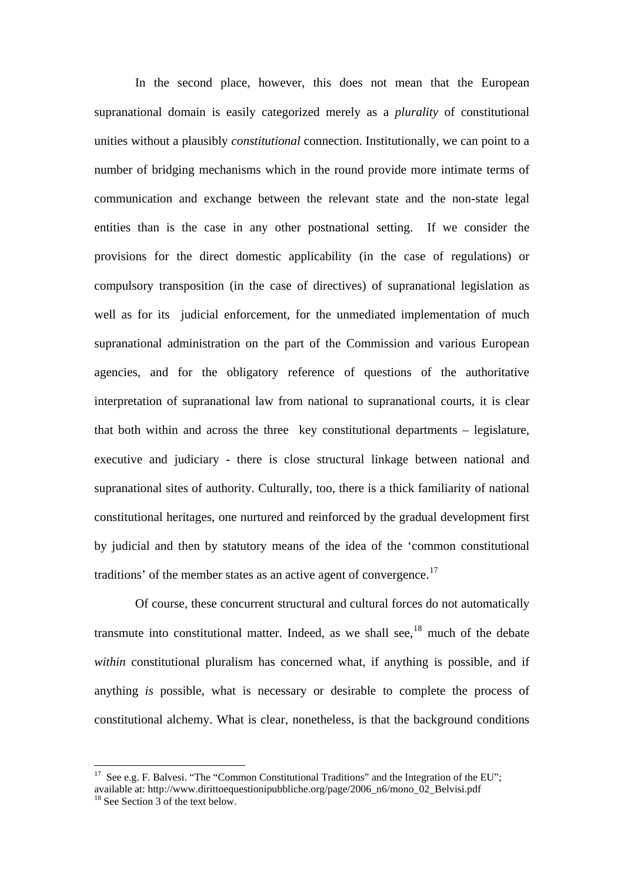In the second place, however, this does not mean that the European supranational domain is easily categorized merely as a *plurality* of constitutional unities without a plausibly *constitutional* connection. Institutionally, we can point to a number of bridging mechanisms which in the round provide more intimate terms of communication and exchange between the relevant state and the non-state legal entities than is the case in any other postnational setting. If we consider the provisions for the direct domestic applicability (in the case of regulations) or compulsory transposition (in the case of directives) of supranational legislation as well as for its judicial enforcement, for the unmediated implementation of much supranational administration on the part of the Commission and various European agencies, and for the obligatory reference of questions of the authoritative interpretation of supranational law from national to supranational courts, it is clear that both within and across the three key constitutional departments – legislature, executive and judiciary - there is close structural linkage between national and supranational sites of authority. Culturally, too, there is a thick familiarity of national constitutional heritages, one nurtured and reinforced by the gradual development first by judicial and then by statutory means of the idea of the 'common constitutional traditions' of the member states as an active agent of convergence.<sup>[17](#page-8-0)</sup>

 Of course, these concurrent structural and cultural forces do not automatically transmute into constitutional matter. Indeed, as we shall see,  $18$  much of the debate *within* constitutional pluralism has concerned what, if anything is possible, and if anything *is* possible, what is necessary or desirable to complete the process of constitutional alchemy. What is clear, nonetheless, is that the background conditions

<span id="page-8-0"></span><sup>&</sup>lt;sup>17</sup> See e.g. F. Balvesi. "The "Common Constitutional Traditions" and the Integration of the EU";

<span id="page-8-1"></span>available at: http://www.dirittoequestionipubbliche.org/page/2006\_n6/mono\_02\_Belvisi.pdf  $18$  See Section 3 of the text below.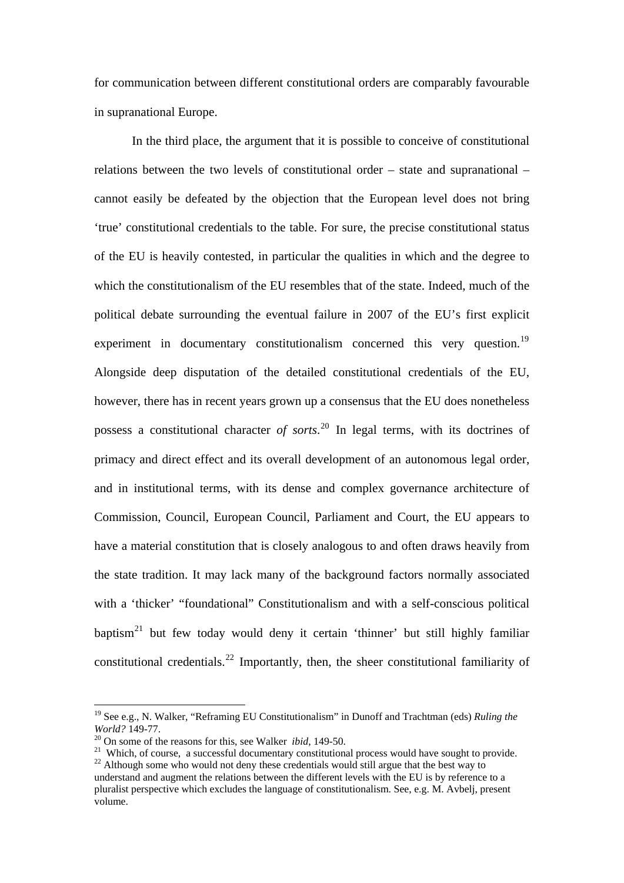for communication between different constitutional orders are comparably favourable in supranational Europe.

In the third place, the argument that it is possible to conceive of constitutional relations between the two levels of constitutional order – state and supranational – cannot easily be defeated by the objection that the European level does not bring 'true' constitutional credentials to the table. For sure, the precise constitutional status of the EU is heavily contested, in particular the qualities in which and the degree to which the constitutionalism of the EU resembles that of the state. Indeed, much of the political debate surrounding the eventual failure in 2007 of the EU's first explicit experiment in documentary constitutionalism concerned this very question.<sup>[19](#page-9-0)</sup> Alongside deep disputation of the detailed constitutional credentials of the EU, however, there has in recent years grown up a consensus that the EU does nonetheless possess a constitutional character *of sorts*. [20](#page-9-1) In legal terms, with its doctrines of primacy and direct effect and its overall development of an autonomous legal order, and in institutional terms, with its dense and complex governance architecture of Commission, Council, European Council, Parliament and Court, the EU appears to have a material constitution that is closely analogous to and often draws heavily from the state tradition. It may lack many of the background factors normally associated with a 'thicker' "foundational" Constitutionalism and with a self-conscious political baptism<sup>[21](#page-9-2)</sup> but few today would deny it certain 'thinner' but still highly familiar constitutional credentials.<sup>[22](#page-9-3)</sup> Importantly, then, the sheer constitutional familiarity of

<span id="page-9-0"></span><sup>19</sup> See e.g., N. Walker, "Reframing EU Constitutionalism" in Dunoff and Trachtman (eds) *Ruling the*  World? 149-77.<br><sup>20</sup> On some of the reasons for this, see Walker *ibid*, 149-50.<br><sup>21</sup> Which, of course, a successful documentary constitutional process would have sought to provide.<br><sup>22</sup> Although some who would not deny th

<span id="page-9-1"></span>

<span id="page-9-3"></span><span id="page-9-2"></span>understand and augment the relations between the different levels with the EU is by reference to a pluralist perspective which excludes the language of constitutionalism. See, e.g. M. Avbelj, present volume.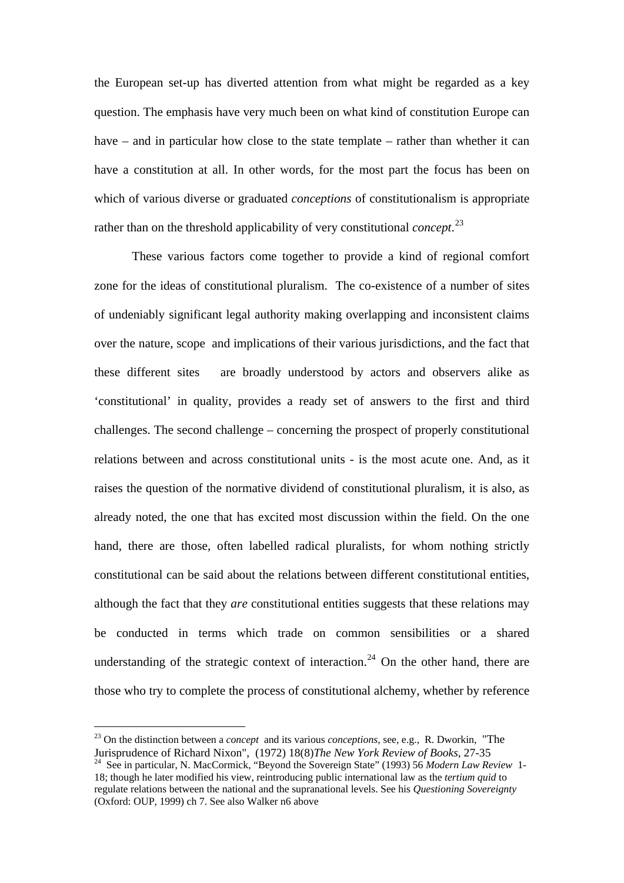the European set-up has diverted attention from what might be regarded as a key question. The emphasis have very much been on what kind of constitution Europe can have – and in particular how close to the state template – rather than whether it can have a constitution at all. In other words, for the most part the focus has been on which of various diverse or graduated *conceptions* of constitutionalism is appropriate rather than on the threshold applicability of very constitutional *concept*. [23](#page-10-0)

These various factors come together to provide a kind of regional comfort zone for the ideas of constitutional pluralism. The co-existence of a number of sites of undeniably significant legal authority making overlapping and inconsistent claims over the nature, scope and implications of their various jurisdictions, and the fact that these different sites are broadly understood by actors and observers alike as 'constitutional' in quality, provides a ready set of answers to the first and third challenges. The second challenge – concerning the prospect of properly constitutional relations between and across constitutional units - is the most acute one. And, as it raises the question of the normative dividend of constitutional pluralism, it is also, as already noted, the one that has excited most discussion within the field. On the one hand, there are those, often labelled radical pluralists, for whom nothing strictly constitutional can be said about the relations between different constitutional entities, although the fact that they *are* constitutional entities suggests that these relations may be conducted in terms which trade on common sensibilities or a shared understanding of the strategic context of interaction.<sup>[24](#page-10-1)</sup> On the other hand, there are those who try to complete the process of constitutional alchemy, whether by reference

<span id="page-10-0"></span><sup>&</sup>lt;sup>23</sup> On the distinction between a *concept* and its various *conceptions*, see, e.g., R. Dworkin, "The Jurisprudence of Richard Nixon", (1972) 18(8) The New York Review of Books, 27-35

<span id="page-10-1"></span>Jurisprudence of Richard Nixon", (1972) 18(8)*The New York Review of Books*, 27-35 24 See in particular, N. MacCormick, "Beyond the Sovereign State" (1993) 56 *Modern Law Review* 1- 18; though he later modified his view, reintroducing public international law as the *tertium quid* to regulate relations between the national and the supranational levels. See his *Questioning Sovereignty*  (Oxford: OUP, 1999) ch 7. See also Walker n6 above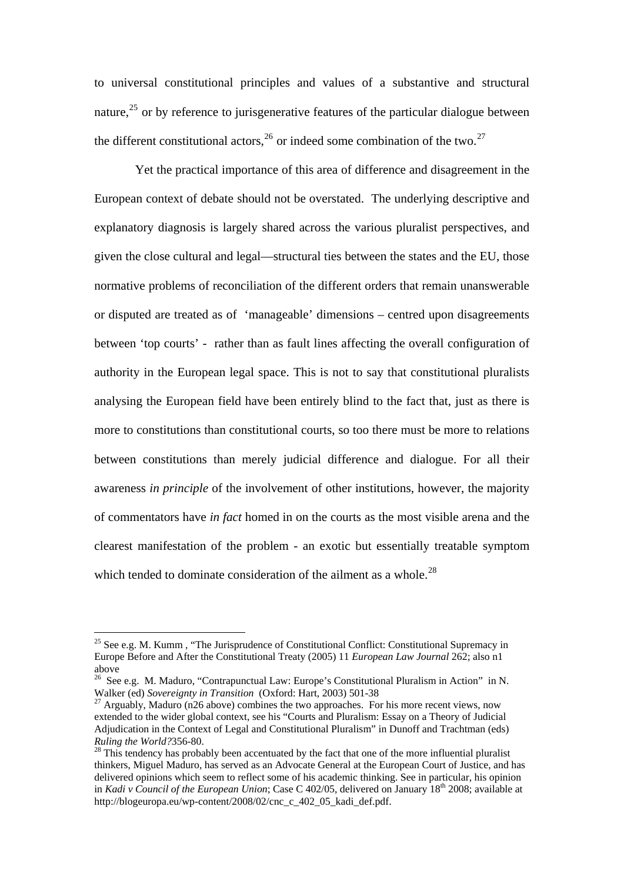to universal constitutional principles and values of a substantive and structural nature,<sup>[25](#page-11-0)</sup> or by reference to jurisgenerative features of the particular dialogue between the different constitutional actors,  $^{26}$  $^{26}$  $^{26}$  or indeed some combination of the two.<sup>[27](#page-11-2)</sup>

 Yet the practical importance of this area of difference and disagreement in the European context of debate should not be overstated. The underlying descriptive and explanatory diagnosis is largely shared across the various pluralist perspectives, and given the close cultural and legal—structural ties between the states and the EU, those normative problems of reconciliation of the different orders that remain unanswerable or disputed are treated as of 'manageable' dimensions – centred upon disagreements between 'top courts' - rather than as fault lines affecting the overall configuration of authority in the European legal space. This is not to say that constitutional pluralists analysing the European field have been entirely blind to the fact that, just as there is more to constitutions than constitutional courts, so too there must be more to relations between constitutions than merely judicial difference and dialogue. For all their awareness *in principle* of the involvement of other institutions, however, the majority of commentators have *in fact* homed in on the courts as the most visible arena and the clearest manifestation of the problem - an exotic but essentially treatable symptom which tended to dominate consideration of the ailment as a whole.<sup>[28](#page-11-3)</sup>

<span id="page-11-0"></span><sup>&</sup>lt;sup>25</sup> See e.g. M. Kumm, "The Jurisprudence of Constitutional Conflict: Constitutional Supremacy in Europe Before and After the Constitutional Treaty (2005) 11 *European Law Journal* 262; also n1 above

<span id="page-11-1"></span><sup>&</sup>lt;sup>26</sup> See e.g. M. Maduro, "Contrapunctual Law: Europe's Constitutional Pluralism in Action" in N. Walker (ed) *Sovereignty in Transition* (Oxford: Hart, 2003) 501-38<br><sup>27</sup> Arguably, Maduro (n26 above) combines the two approaches. For his more recent views, now

<span id="page-11-2"></span>extended to the wider global context, see his "Courts and Pluralism: Essay on a Theory of Judicial Adjudication in the Context of Legal and Constitutional Pluralism" in Dunoff and Trachtman (eds) *Ruling the World?*356-80.<br><sup>28</sup> This tendency has probably been accentuated by the fact that one of the more influential pluralist

<span id="page-11-3"></span>thinkers, Miguel Maduro, has served as an Advocate General at the European Court of Justice, and has delivered opinions which seem to reflect some of his academic thinking. See in particular, his opinion in *Kadi v Council of the European Union*; Case C 402/05, delivered on January 18<sup>th</sup> 2008; available at http://blogeuropa.eu/wp-content/2008/02/cnc\_c\_402\_05\_kadi\_def.pdf.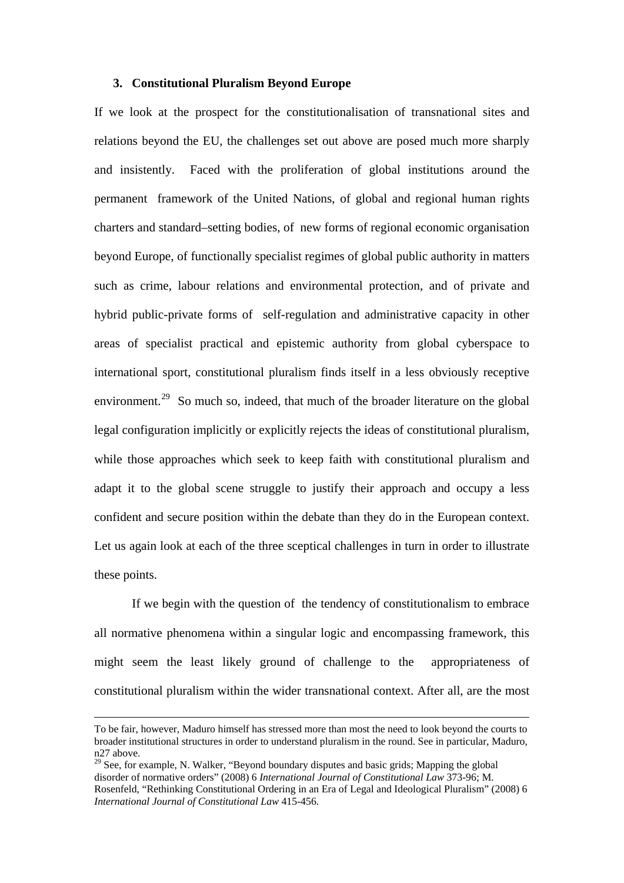### **3. Constitutional Pluralism Beyond Europe**

If we look at the prospect for the constitutionalisation of transnational sites and relations beyond the EU, the challenges set out above are posed much more sharply and insistently. Faced with the proliferation of global institutions around the permanent framework of the United Nations, of global and regional human rights charters and standard–setting bodies, of new forms of regional economic organisation beyond Europe, of functionally specialist regimes of global public authority in matters such as crime, labour relations and environmental protection, and of private and hybrid public-private forms of self-regulation and administrative capacity in other areas of specialist practical and epistemic authority from global cyberspace to international sport, constitutional pluralism finds itself in a less obviously receptive environment.<sup>[29](#page-12-0)</sup> So much so, indeed, that much of the broader literature on the global legal configuration implicitly or explicitly rejects the ideas of constitutional pluralism, while those approaches which seek to keep faith with constitutional pluralism and adapt it to the global scene struggle to justify their approach and occupy a less confident and secure position within the debate than they do in the European context. Let us again look at each of the three sceptical challenges in turn in order to illustrate these points.

 If we begin with the question of the tendency of constitutionalism to embrace all normative phenomena within a singular logic and encompassing framework, this might seem the least likely ground of challenge to the appropriateness of constitutional pluralism within the wider transnational context. After all, are the most

To be fair, however, Maduro himself has stressed more than most the need to look beyond the courts to broader institutional structures in order to understand pluralism in the round. See in particular, Maduro, n27 above.

<span id="page-12-0"></span><sup>&</sup>lt;sup>29</sup> See, for example, N. Walker, "Beyond boundary disputes and basic grids; Mapping the global disorder of normative orders" (2008) 6 *International Journal of Constitutional Law* 373-96; M. Rosenfeld, "Rethinking Constitutional Ordering in an Era of Legal and Ideological Pluralism" (2008) 6 *International Journal of Constitutional Law* 415-456.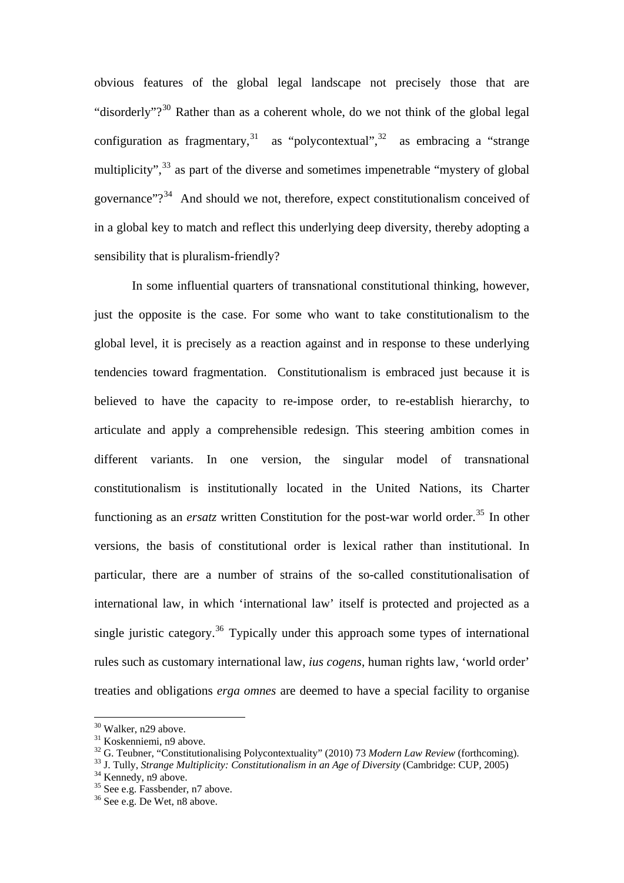obvious features of the global legal landscape not precisely those that are "disorderly"?<sup>[30](#page-13-0)</sup> Rather than as a coherent whole, do we not think of the global legal configuration as fragmentary,<sup>[31](#page-13-1)</sup> as "polycontextual",<sup>[32](#page-13-2)</sup> as embracing a "strange" multiplicity",<sup>[33](#page-13-3)</sup> as part of the diverse and sometimes impenetrable "mystery of global" governance"?<sup>[34](#page-13-4)</sup> And should we not, therefore, expect constitutionalism conceived of in a global key to match and reflect this underlying deep diversity, thereby adopting a sensibility that is pluralism-friendly?

In some influential quarters of transnational constitutional thinking, however, just the opposite is the case. For some who want to take constitutionalism to the global level, it is precisely as a reaction against and in response to these underlying tendencies toward fragmentation. Constitutionalism is embraced just because it is believed to have the capacity to re-impose order, to re-establish hierarchy, to articulate and apply a comprehensible redesign. This steering ambition comes in different variants. In one version, the singular model of transnational constitutionalism is institutionally located in the United Nations, its Charter functioning as an *ersatz* written Constitution for the post-war world order.<sup>[35](#page-13-5)</sup> In other versions, the basis of constitutional order is lexical rather than institutional. In particular, there are a number of strains of the so-called constitutionalisation of international law, in which 'international law' itself is protected and projected as a single juristic category.<sup>[36](#page-13-6)</sup> Typically under this approach some types of international rules such as customary international law, *ius cogens*, human rights law, 'world order' treaties and obligations *erga omnes* are deemed to have a special facility to organise

<sup>30</sup> Walker, n29 above.

<span id="page-13-1"></span><span id="page-13-0"></span><sup>&</sup>lt;sup>31</sup> Koskenniemi, n9 above.<br><sup>32</sup> G. Teubner, "Constitutionalising Polycontextuality" (2010) 73 *Modern Law Review* (forthcoming).

<span id="page-13-3"></span><span id="page-13-2"></span><sup>&</sup>lt;sup>33</sup> J. Tully, *Strange Multiplicity: Constitutionalism in an Age of Diversity* (Cambridge: CUP, 2005) <sup>34</sup> Kennedy, n9 above.

<span id="page-13-5"></span><span id="page-13-4"></span> $35$  See e.g. Fassbender, n7 above.

<span id="page-13-6"></span><sup>36</sup> See e.g. De Wet, n8 above.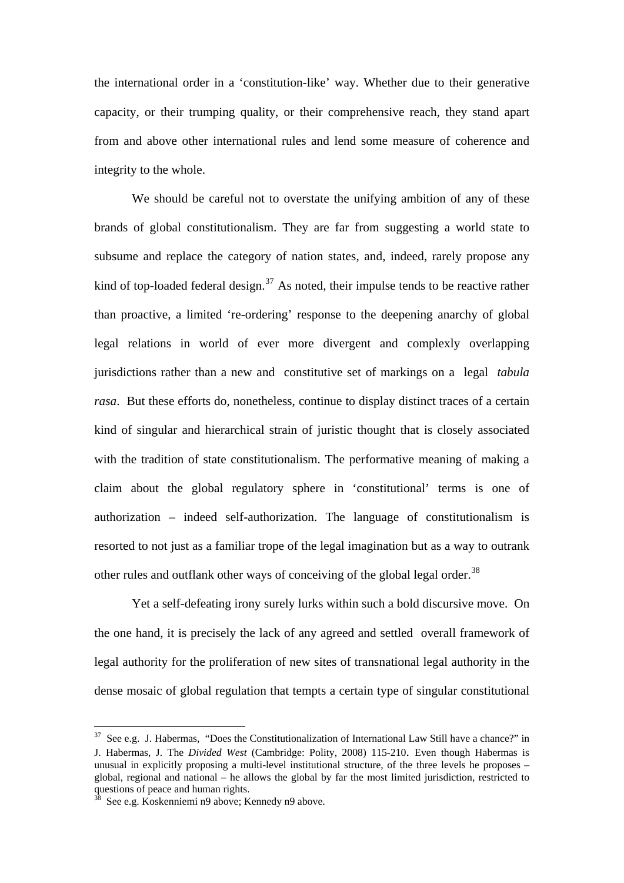the international order in a 'constitution-like' way. Whether due to their generative capacity, or their trumping quality, or their comprehensive reach, they stand apart from and above other international rules and lend some measure of coherence and integrity to the whole.

 We should be careful not to overstate the unifying ambition of any of these brands of global constitutionalism. They are far from suggesting a world state to subsume and replace the category of nation states, and, indeed, rarely propose any kind of top-loaded federal design.<sup>[37](#page-14-0)</sup> As noted, their impulse tends to be reactive rather than proactive, a limited 're-ordering' response to the deepening anarchy of global legal relations in world of ever more divergent and complexly overlapping jurisdictions rather than a new and constitutive set of markings on a legal *tabula rasa*. But these efforts do, nonetheless, continue to display distinct traces of a certain kind of singular and hierarchical strain of juristic thought that is closely associated with the tradition of state constitutionalism. The performative meaning of making a claim about the global regulatory sphere in 'constitutional' terms is one of authorization – indeed self-authorization. The language of constitutionalism is resorted to not just as a familiar trope of the legal imagination but as a way to outrank other rules and outflank other ways of conceiving of the global legal order.<sup>[38](#page-14-1)</sup>

Yet a self-defeating irony surely lurks within such a bold discursive move. On the one hand, it is precisely the lack of any agreed and settled overall framework of legal authority for the proliferation of new sites of transnational legal authority in the dense mosaic of global regulation that tempts a certain type of singular constitutional

<span id="page-14-0"></span><sup>&</sup>lt;sup>37</sup> See e.g. J. Habermas, "Does the Constitutionalization of International Law Still have a chance?" in J. Habermas, J. The *Divided West* (Cambridge: Polity, 2008) 115-210. Even though Habermas is unusual in explicitly proposing a multi-level institutional structure, of the three levels he proposes – global, regional and national – he allows the global by far the most limited jurisdiction, restricted to questions of peace and human rights.

<span id="page-14-1"></span><sup>38</sup> See e.g. Koskenniemi n9 above; Kennedy n9 above.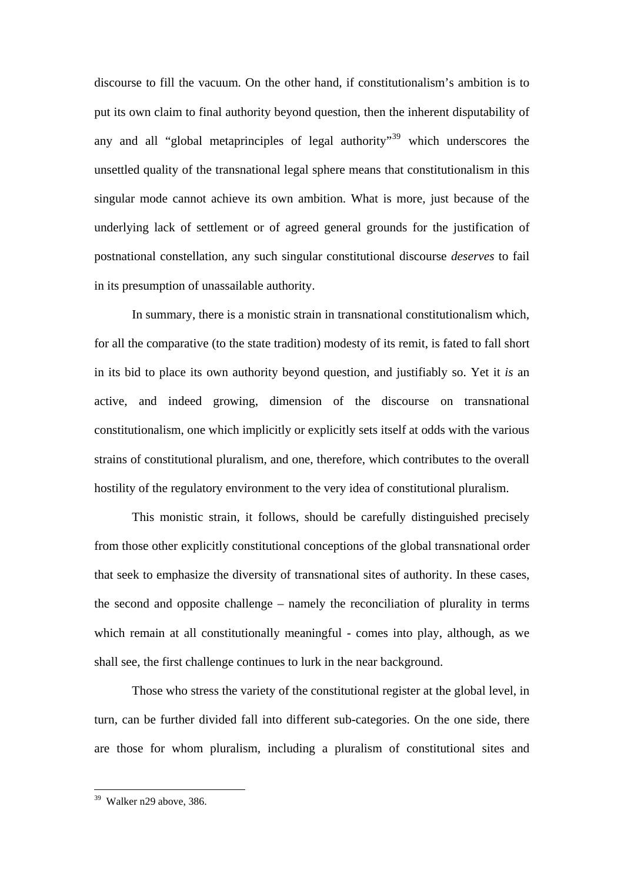discourse to fill the vacuum. On the other hand, if constitutionalism's ambition is to put its own claim to final authority beyond question, then the inherent disputability of any and all "global metaprinciples of legal authority"<sup>[39](#page-15-0)</sup> which underscores the unsettled quality of the transnational legal sphere means that constitutionalism in this singular mode cannot achieve its own ambition. What is more, just because of the underlying lack of settlement or of agreed general grounds for the justification of postnational constellation, any such singular constitutional discourse *deserves* to fail in its presumption of unassailable authority.

In summary, there is a monistic strain in transnational constitutionalism which, for all the comparative (to the state tradition) modesty of its remit, is fated to fall short in its bid to place its own authority beyond question, and justifiably so. Yet it *is* an active, and indeed growing, dimension of the discourse on transnational constitutionalism, one which implicitly or explicitly sets itself at odds with the various strains of constitutional pluralism, and one, therefore, which contributes to the overall hostility of the regulatory environment to the very idea of constitutional pluralism.

This monistic strain, it follows, should be carefully distinguished precisely from those other explicitly constitutional conceptions of the global transnational order that seek to emphasize the diversity of transnational sites of authority. In these cases, the second and opposite challenge – namely the reconciliation of plurality in terms which remain at all constitutionally meaningful - comes into play, although, as we shall see, the first challenge continues to lurk in the near background.

Those who stress the variety of the constitutional register at the global level, in turn, can be further divided fall into different sub-categories. On the one side, there are those for whom pluralism, including a pluralism of constitutional sites and

<span id="page-15-0"></span><sup>&</sup>lt;sup>39</sup> Walker n29 above, 386.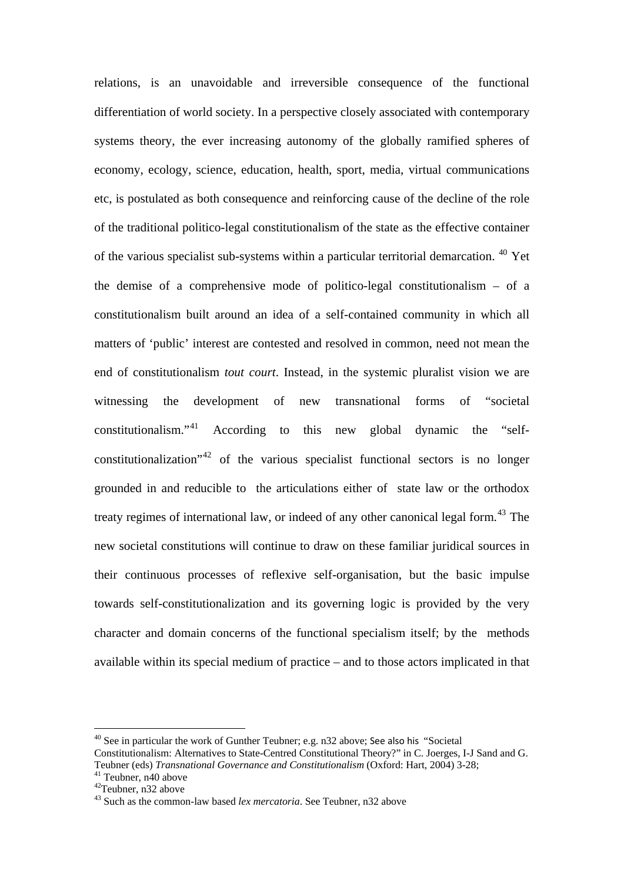relations, is an unavoidable and irreversible consequence of the functional differentiation of world society. In a perspective closely associated with contemporary systems theory, the ever increasing autonomy of the globally ramified spheres of economy, ecology, science, education, health, sport, media, virtual communications etc, is postulated as both consequence and reinforcing cause of the decline of the role of the traditional politico-legal constitutionalism of the state as the effective container of the various specialist sub-systems within a particular territorial demarcation. [40](#page-16-0) Yet the demise of a comprehensive mode of politico-legal constitutionalism – of a constitutionalism built around an idea of a self-contained community in which all matters of 'public' interest are contested and resolved in common, need not mean the end of constitutionalism *tout court*. Instead, in the systemic pluralist vision we are witnessing the development of new transnational forms of "societal constitutionalism."[41](#page-16-1) According to this new global dynamic the "selfconstitutionalization<sup> $1/42$  $1/42$ </sup> of the various specialist functional sectors is no longer grounded in and reducible to the articulations either of state law or the orthodox treaty regimes of international law, or indeed of any other canonical legal form.<sup>[43](#page-16-3)</sup> The new societal constitutions will continue to draw on these familiar juridical sources in their continuous processes of reflexive self-organisation, but the basic impulse towards self-constitutionalization and its governing logic is provided by the very character and domain concerns of the functional specialism itself; by the methods available within its special medium of practice – and to those actors implicated in that

<span id="page-16-0"></span> $40$  See in particular the work of Gunther Teubner; e.g. n32 above; See also his "Societal Constitutionalism: Alternatives to State-Centred Constitutional Theory?" in C. Joerges, I-J Sand and G. Teubner (eds) *Transnational Governance and Constitutionalism* (Oxford: Hart, 2004) 3-28; 41 Teubner, n40 above

<span id="page-16-2"></span><span id="page-16-1"></span><sup>42</sup>Teubner, n32 above

<span id="page-16-3"></span><sup>43</sup> Such as the common-law based *lex mercatoria*. See Teubner, n32 above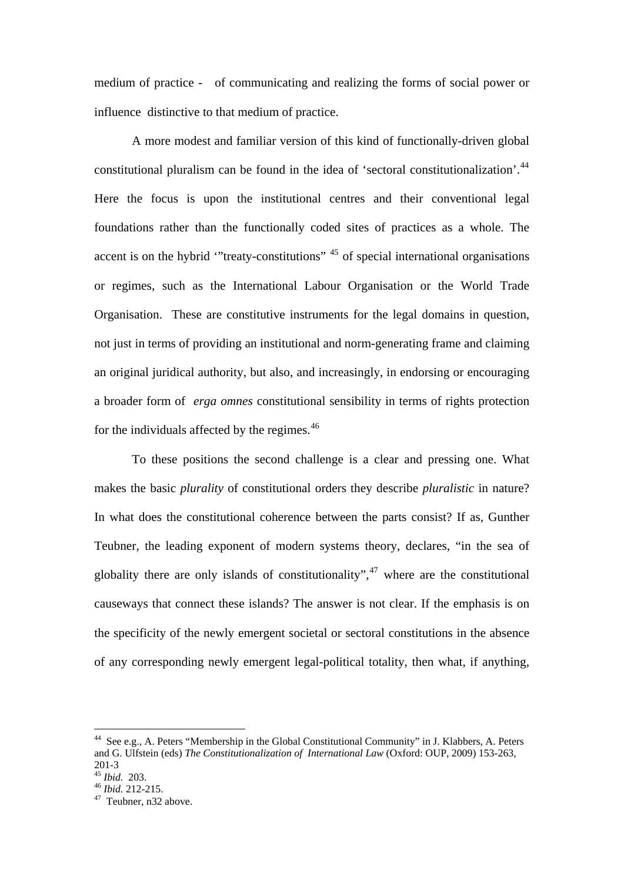medium of practice - of communicating and realizing the forms of social power or influence distinctive to that medium of practice.

A more modest and familiar version of this kind of functionally-driven global constitutional pluralism can be found in the idea of 'sectoral constitutionalization'.<sup>[44](#page-17-0)</sup> Here the focus is upon the institutional centres and their conventional legal foundations rather than the functionally coded sites of practices as a whole. The accent is on the hybrid "treaty-constitutions" <sup>[45](#page-17-1)</sup> of special international organisations or regimes, such as the International Labour Organisation or the World Trade Organisation. These are constitutive instruments for the legal domains in question, not just in terms of providing an institutional and norm-generating frame and claiming an original juridical authority, but also, and increasingly, in endorsing or encouraging a broader form of *erga omnes* constitutional sensibility in terms of rights protection for the individuals affected by the regimes.<sup>[46](#page-17-2)</sup>

To these positions the second challenge is a clear and pressing one. What makes the basic *plurality* of constitutional orders they describe *pluralistic* in nature? In what does the constitutional coherence between the parts consist? If as, Gunther Teubner, the leading exponent of modern systems theory, declares, "in the sea of globality there are only islands of constitutionality", $47$  where are the constitutional causeways that connect these islands? The answer is not clear. If the emphasis is on the specificity of the newly emergent societal or sectoral constitutions in the absence of any corresponding newly emergent legal-political totality, then what, if anything,

<span id="page-17-0"></span><sup>44</sup> See e.g., A. Peters "Membership in the Global Constitutional Community" in J. Klabbers, A. Peters and G. Ulfstein (eds) *The Constitutionalization of International Law* (Oxford: OUP, 2009) 153-263, 201-3<br> $^{45}$  *Ibid.* 203.

<span id="page-17-3"></span><span id="page-17-2"></span><span id="page-17-1"></span><sup>46</sup> *Ibid.* 212-215.<br><sup>47</sup> Teubner, n32 above.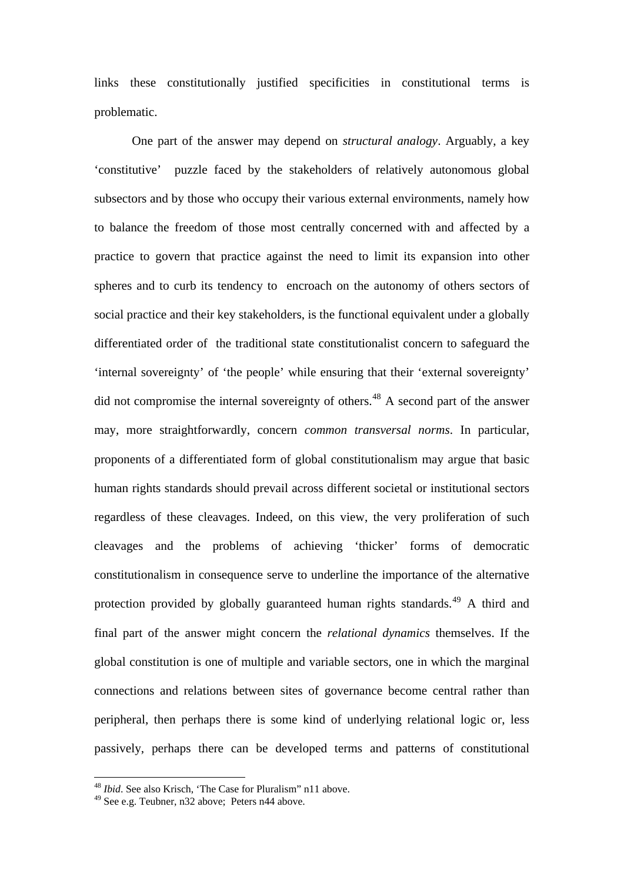links these constitutionally justified specificities in constitutional terms is problematic.

One part of the answer may depend on *structural analogy*. Arguably, a key 'constitutive' puzzle faced by the stakeholders of relatively autonomous global subsectors and by those who occupy their various external environments, namely how to balance the freedom of those most centrally concerned with and affected by a practice to govern that practice against the need to limit its expansion into other spheres and to curb its tendency to encroach on the autonomy of others sectors of social practice and their key stakeholders, is the functional equivalent under a globally differentiated order of the traditional state constitutionalist concern to safeguard the 'internal sovereignty' of 'the people' while ensuring that their 'external sovereignty' did not compromise the internal sovereignty of others.<sup>[48](#page-18-0)</sup> A second part of the answer may, more straightforwardly, concern *common transversal norms*. In particular, proponents of a differentiated form of global constitutionalism may argue that basic human rights standards should prevail across different societal or institutional sectors regardless of these cleavages. Indeed, on this view, the very proliferation of such cleavages and the problems of achieving 'thicker' forms of democratic constitutionalism in consequence serve to underline the importance of the alternative protection provided by globally guaranteed human rights standards.<sup>[49](#page-18-1)</sup> A third and final part of the answer might concern the *relational dynamics* themselves. If the global constitution is one of multiple and variable sectors, one in which the marginal connections and relations between sites of governance become central rather than peripheral, then perhaps there is some kind of underlying relational logic or, less passively, perhaps there can be developed terms and patterns of constitutional

<sup>48</sup> *Ibid*. See also Krisch, 'The Case for Pluralism" n11 above.

<span id="page-18-1"></span><span id="page-18-0"></span><sup>49</sup> See e.g. Teubner, n32 above; Peters n44 above.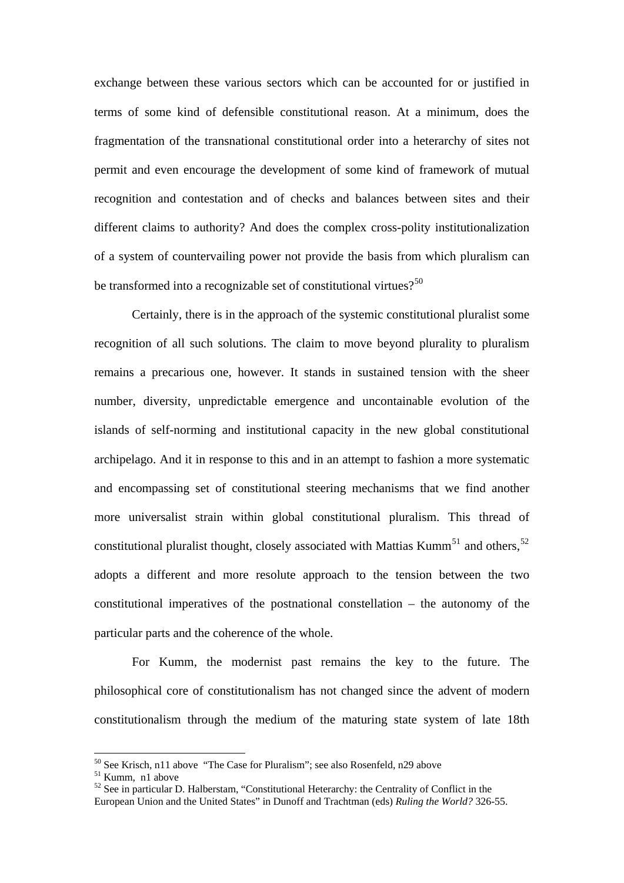exchange between these various sectors which can be accounted for or justified in terms of some kind of defensible constitutional reason. At a minimum, does the fragmentation of the transnational constitutional order into a heterarchy of sites not permit and even encourage the development of some kind of framework of mutual recognition and contestation and of checks and balances between sites and their different claims to authority? And does the complex cross-polity institutionalization of a system of countervailing power not provide the basis from which pluralism can be transformed into a recognizable set of constitutional virtues?<sup>[50](#page-19-0)</sup>

Certainly, there is in the approach of the systemic constitutional pluralist some recognition of all such solutions. The claim to move beyond plurality to pluralism remains a precarious one, however. It stands in sustained tension with the sheer number, diversity, unpredictable emergence and uncontainable evolution of the islands of self-norming and institutional capacity in the new global constitutional archipelago. And it in response to this and in an attempt to fashion a more systematic and encompassing set of constitutional steering mechanisms that we find another more universalist strain within global constitutional pluralism. This thread of constitutional pluralist thought, closely associated with Mattias Kumm<sup>[51](#page-19-1)</sup> and others,<sup>[52](#page-19-2)</sup> adopts a different and more resolute approach to the tension between the two constitutional imperatives of the postnational constellation – the autonomy of the particular parts and the coherence of the whole.

For Kumm, the modernist past remains the key to the future. The philosophical core of constitutionalism has not changed since the advent of modern constitutionalism through the medium of the maturing state system of late 18th

<span id="page-19-0"></span><sup>&</sup>lt;sup>50</sup> See Krisch, n11 above "The Case for Pluralism"; see also Rosenfeld, n29 above  $^{51}$  Kumm, n1 above

<span id="page-19-2"></span><span id="page-19-1"></span> $52$  See in particular D. Halberstam, "Constitutional Heterarchy: the Centrality of Conflict in the European Union and the United States" in Dunoff and Trachtman (eds) *Ruling the World?* 326-55.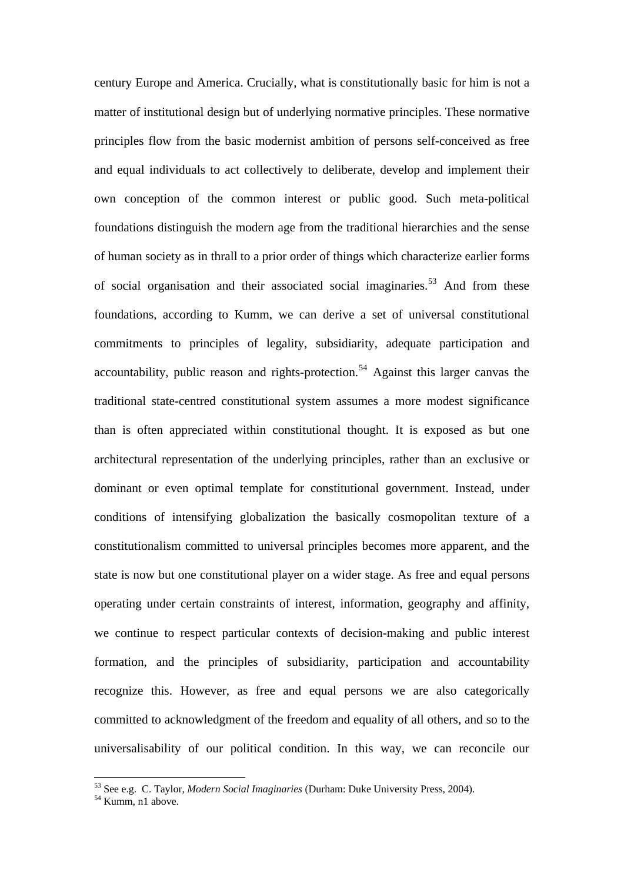century Europe and America. Crucially, what is constitutionally basic for him is not a matter of institutional design but of underlying normative principles. These normative principles flow from the basic modernist ambition of persons self-conceived as free and equal individuals to act collectively to deliberate, develop and implement their own conception of the common interest or public good. Such meta-political foundations distinguish the modern age from the traditional hierarchies and the sense of human society as in thrall to a prior order of things which characterize earlier forms of social organisation and their associated social imaginaries.<sup>[53](#page-20-0)</sup> And from these foundations, according to Kumm, we can derive a set of universal constitutional commitments to principles of legality, subsidiarity, adequate participation and accountability, public reason and rights-protection.<sup>[54](#page-20-1)</sup> Against this larger canvas the traditional state-centred constitutional system assumes a more modest significance than is often appreciated within constitutional thought. It is exposed as but one architectural representation of the underlying principles, rather than an exclusive or dominant or even optimal template for constitutional government. Instead, under conditions of intensifying globalization the basically cosmopolitan texture of a constitutionalism committed to universal principles becomes more apparent, and the state is now but one constitutional player on a wider stage. As free and equal persons operating under certain constraints of interest, information, geography and affinity, we continue to respect particular contexts of decision-making and public interest formation, and the principles of subsidiarity, participation and accountability recognize this. However, as free and equal persons we are also categorically committed to acknowledgment of the freedom and equality of all others, and so to the universalisability of our political condition. In this way, we can reconcile our

<span id="page-20-0"></span><sup>53</sup> See e.g. C. Taylor, *Modern Social Imaginaries* (Durham: Duke University Press, 2004).54 Kumm, n1 above.

<span id="page-20-1"></span>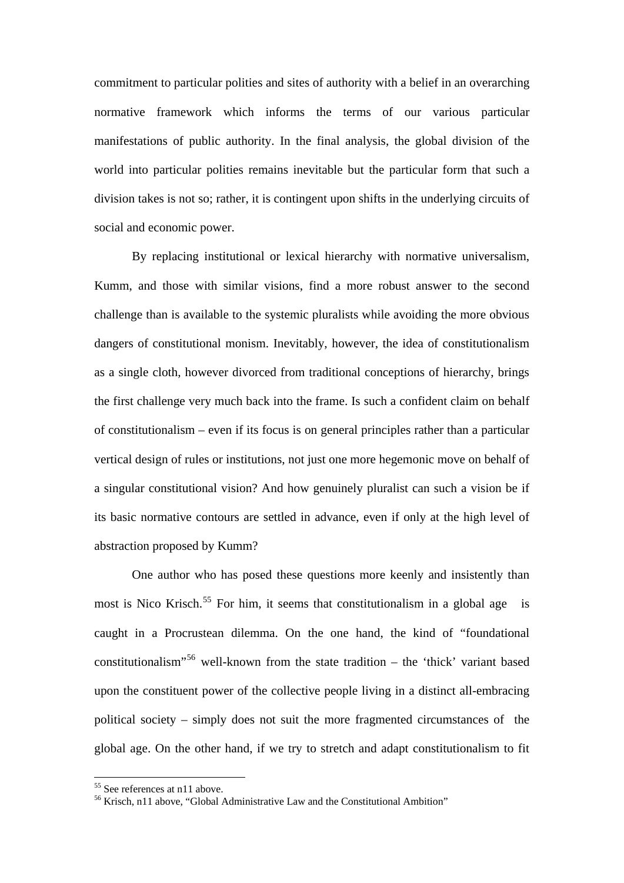commitment to particular polities and sites of authority with a belief in an overarching normative framework which informs the terms of our various particular manifestations of public authority. In the final analysis, the global division of the world into particular polities remains inevitable but the particular form that such a division takes is not so; rather, it is contingent upon shifts in the underlying circuits of social and economic power.

By replacing institutional or lexical hierarchy with normative universalism, Kumm, and those with similar visions, find a more robust answer to the second challenge than is available to the systemic pluralists while avoiding the more obvious dangers of constitutional monism. Inevitably, however, the idea of constitutionalism as a single cloth, however divorced from traditional conceptions of hierarchy, brings the first challenge very much back into the frame. Is such a confident claim on behalf of constitutionalism – even if its focus is on general principles rather than a particular vertical design of rules or institutions, not just one more hegemonic move on behalf of a singular constitutional vision? And how genuinely pluralist can such a vision be if its basic normative contours are settled in advance, even if only at the high level of abstraction proposed by Kumm?

One author who has posed these questions more keenly and insistently than most is Nico Krisch.<sup>[55](#page-21-0)</sup> For him, it seems that constitutionalism in a global age is caught in a Procrustean dilemma. On the one hand, the kind of "foundational constitutionalism<sup>[56](#page-21-1)</sup> well-known from the state tradition – the 'thick' variant based upon the constituent power of the collective people living in a distinct all-embracing political society – simply does not suit the more fragmented circumstances of the global age. On the other hand, if we try to stretch and adapt constitutionalism to fit

<sup>55</sup> See references at n11 above.

<span id="page-21-1"></span><span id="page-21-0"></span><sup>56</sup> Krisch, n11 above, "Global Administrative Law and the Constitutional Ambition"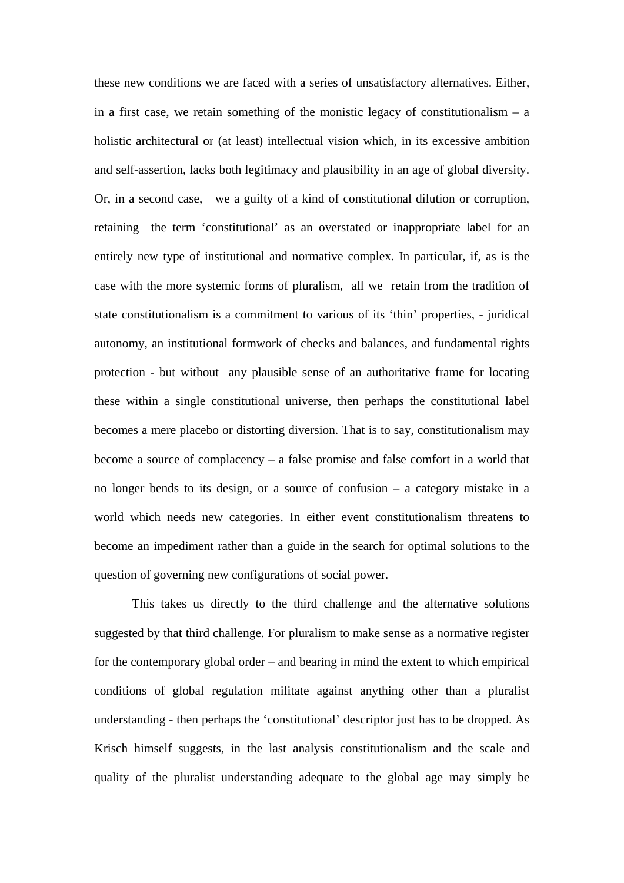these new conditions we are faced with a series of unsatisfactory alternatives. Either, in a first case, we retain something of the monistic legacy of constitutionalism  $-$  a holistic architectural or (at least) intellectual vision which, in its excessive ambition and self-assertion, lacks both legitimacy and plausibility in an age of global diversity. Or, in a second case, we a guilty of a kind of constitutional dilution or corruption, retaining the term 'constitutional' as an overstated or inappropriate label for an entirely new type of institutional and normative complex. In particular, if, as is the case with the more systemic forms of pluralism, all we retain from the tradition of state constitutionalism is a commitment to various of its 'thin' properties, - juridical autonomy, an institutional formwork of checks and balances, and fundamental rights protection - but without any plausible sense of an authoritative frame for locating these within a single constitutional universe, then perhaps the constitutional label becomes a mere placebo or distorting diversion. That is to say, constitutionalism may become a source of complacency – a false promise and false comfort in a world that no longer bends to its design, or a source of confusion – a category mistake in a world which needs new categories. In either event constitutionalism threatens to become an impediment rather than a guide in the search for optimal solutions to the question of governing new configurations of social power.

This takes us directly to the third challenge and the alternative solutions suggested by that third challenge. For pluralism to make sense as a normative register for the contemporary global order – and bearing in mind the extent to which empirical conditions of global regulation militate against anything other than a pluralist understanding - then perhaps the 'constitutional' descriptor just has to be dropped. As Krisch himself suggests, in the last analysis constitutionalism and the scale and quality of the pluralist understanding adequate to the global age may simply be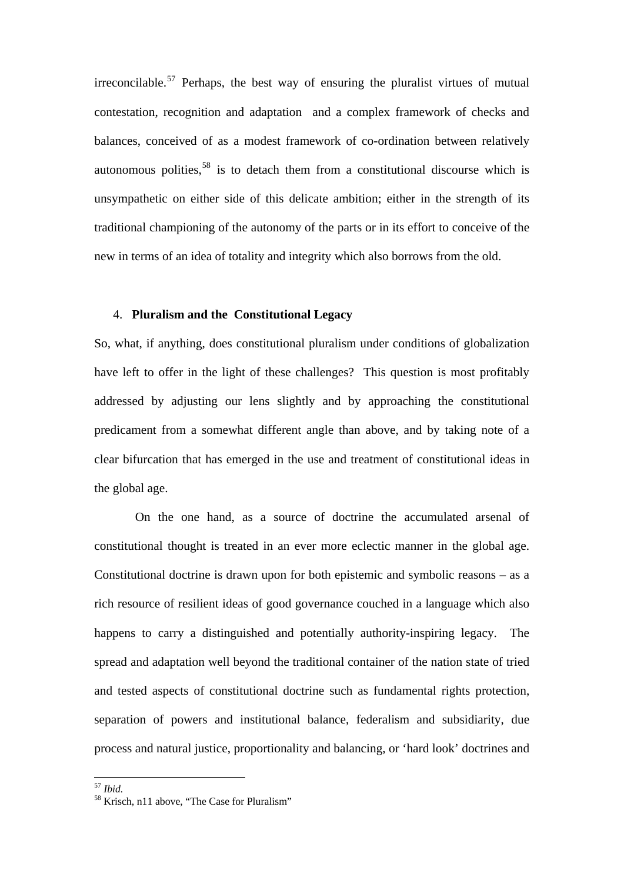$i$ irreconcilable.<sup>[57](#page-23-0)</sup> Perhaps, the best way of ensuring the pluralist virtues of mutual contestation, recognition and adaptation and a complex framework of checks and balances, conceived of as a modest framework of co-ordination between relatively autonomous polities,  $58$  is to detach them from a constitutional discourse which is unsympathetic on either side of this delicate ambition; either in the strength of its traditional championing of the autonomy of the parts or in its effort to conceive of the new in terms of an idea of totality and integrity which also borrows from the old.

### 4. **Pluralism and the Constitutional Legacy**

So, what, if anything, does constitutional pluralism under conditions of globalization have left to offer in the light of these challenges? This question is most profitably addressed by adjusting our lens slightly and by approaching the constitutional predicament from a somewhat different angle than above, and by taking note of a clear bifurcation that has emerged in the use and treatment of constitutional ideas in the global age.

 On the one hand, as a source of doctrine the accumulated arsenal of constitutional thought is treated in an ever more eclectic manner in the global age. Constitutional doctrine is drawn upon for both epistemic and symbolic reasons – as a rich resource of resilient ideas of good governance couched in a language which also happens to carry a distinguished and potentially authority-inspiring legacy. The spread and adaptation well beyond the traditional container of the nation state of tried and tested aspects of constitutional doctrine such as fundamental rights protection, separation of powers and institutional balance, federalism and subsidiarity, due process and natural justice, proportionality and balancing, or 'hard look' doctrines and

 $57$  *Ihid* 

<span id="page-23-1"></span><span id="page-23-0"></span><sup>&</sup>lt;sup>58</sup> Krisch, n11 above, "The Case for Pluralism"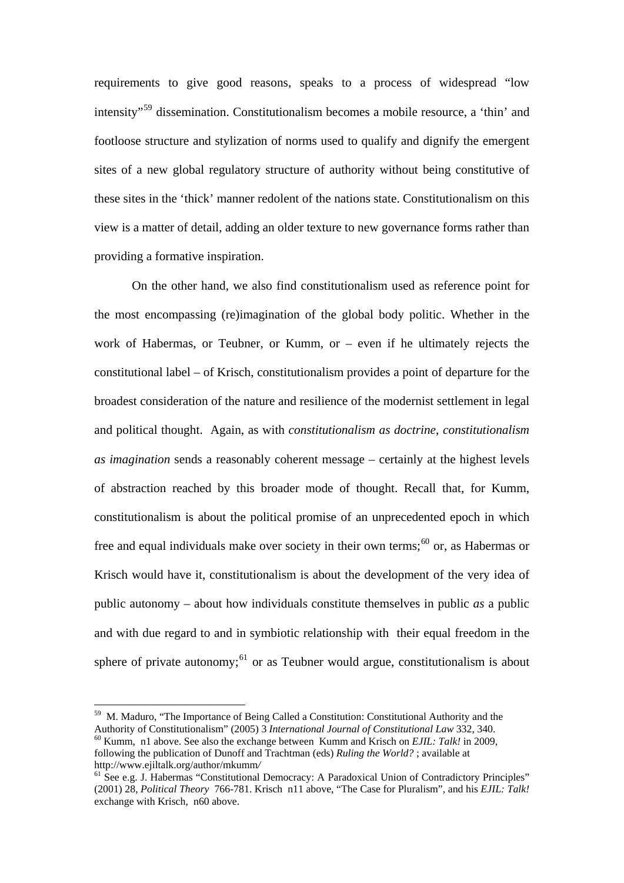requirements to give good reasons, speaks to a process of widespread "low intensity"[59](#page-24-0) dissemination. Constitutionalism becomes a mobile resource, a 'thin' and footloose structure and stylization of norms used to qualify and dignify the emergent sites of a new global regulatory structure of authority without being constitutive of these sites in the 'thick' manner redolent of the nations state. Constitutionalism on this view is a matter of detail, adding an older texture to new governance forms rather than providing a formative inspiration.

On the other hand, we also find constitutionalism used as reference point for the most encompassing (re)imagination of the global body politic. Whether in the work of Habermas, or Teubner, or Kumm, or – even if he ultimately rejects the constitutional label – of Krisch, constitutionalism provides a point of departure for the broadest consideration of the nature and resilience of the modernist settlement in legal and political thought. Again, as with *constitutionalism as doctrine*, *constitutionalism as imagination* sends a reasonably coherent message – certainly at the highest levels of abstraction reached by this broader mode of thought. Recall that, for Kumm, constitutionalism is about the political promise of an unprecedented epoch in which free and equal individuals make over society in their own terms;<sup>[60](#page-24-1)</sup> or, as Habermas or Krisch would have it, constitutionalism is about the development of the very idea of public autonomy – about how individuals constitute themselves in public *as* a public and with due regard to and in symbiotic relationship with their equal freedom in the sphere of private autonomy; $61$  or as Teubner would argue, constitutionalism is about

<span id="page-24-0"></span><sup>&</sup>lt;sup>59</sup> M. Maduro, "The Importance of Being Called a Constitution: Constitutional Authority and the Authority of Constitutionalism" (2005) 3 *International Journal of Constitutional Law* 332, 340. <sup>60</sup> Kumm, n1 above. See also the exchange between Kumm and Krisch on *EJIL: Talk!* in 2009, following the publication of Dunoff and Trachtman (eds) *Ruling the World?* ; available at

<span id="page-24-2"></span><span id="page-24-1"></span>http://www.ejiltalk.org/author/mkumm/<br><sup>61</sup> See e.g. J. Habermas "Constitutional Democracy: A Paradoxical Union of Contradictory Principles" (2001) 28, *Political Theory* 766-781. Krisch n11 above, "The Case for Pluralism", and his *EJIL: Talk!*  exchange with Krisch*,* n60 above.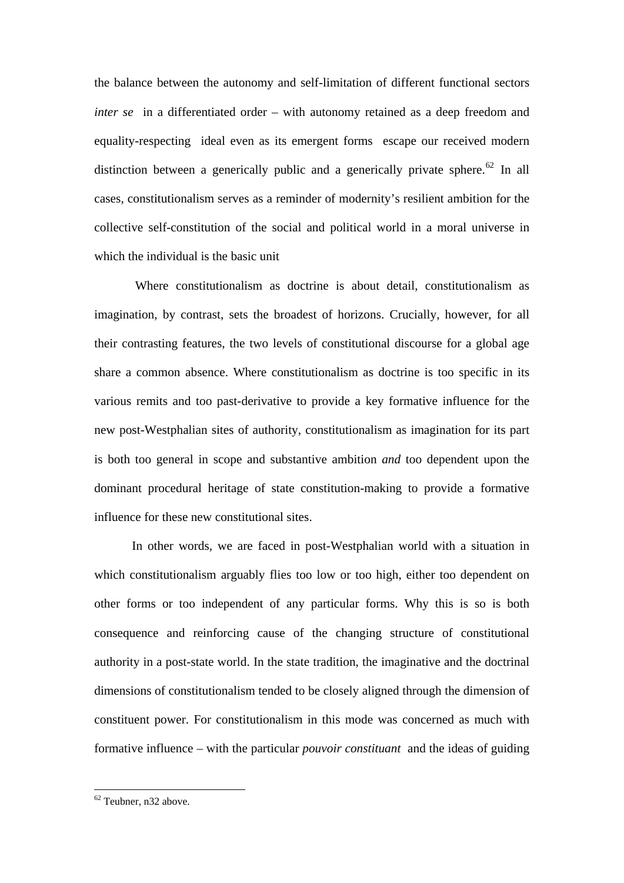the balance between the autonomy and self-limitation of different functional sectors *inter se* in a differentiated order – with autonomy retained as a deep freedom and equality-respecting ideal even as its emergent forms escape our received modern distinction between a generically public and a generically private sphere.<sup>[62](#page-25-0)</sup> In all cases, constitutionalism serves as a reminder of modernity's resilient ambition for the collective self-constitution of the social and political world in a moral universe in which the individual is the basic unit

Where constitutionalism as doctrine is about detail, constitutionalism as imagination, by contrast, sets the broadest of horizons. Crucially, however, for all their contrasting features, the two levels of constitutional discourse for a global age share a common absence. Where constitutionalism as doctrine is too specific in its various remits and too past-derivative to provide a key formative influence for the new post-Westphalian sites of authority, constitutionalism as imagination for its part is both too general in scope and substantive ambition *and* too dependent upon the dominant procedural heritage of state constitution-making to provide a formative influence for these new constitutional sites.

In other words, we are faced in post-Westphalian world with a situation in which constitutionalism arguably flies too low or too high, either too dependent on other forms or too independent of any particular forms. Why this is so is both consequence and reinforcing cause of the changing structure of constitutional authority in a post-state world. In the state tradition, the imaginative and the doctrinal dimensions of constitutionalism tended to be closely aligned through the dimension of constituent power. For constitutionalism in this mode was concerned as much with formative influence – with the particular *pouvoir constituant* and the ideas of guiding

<span id="page-25-0"></span> $62$  Teubner, n32 above.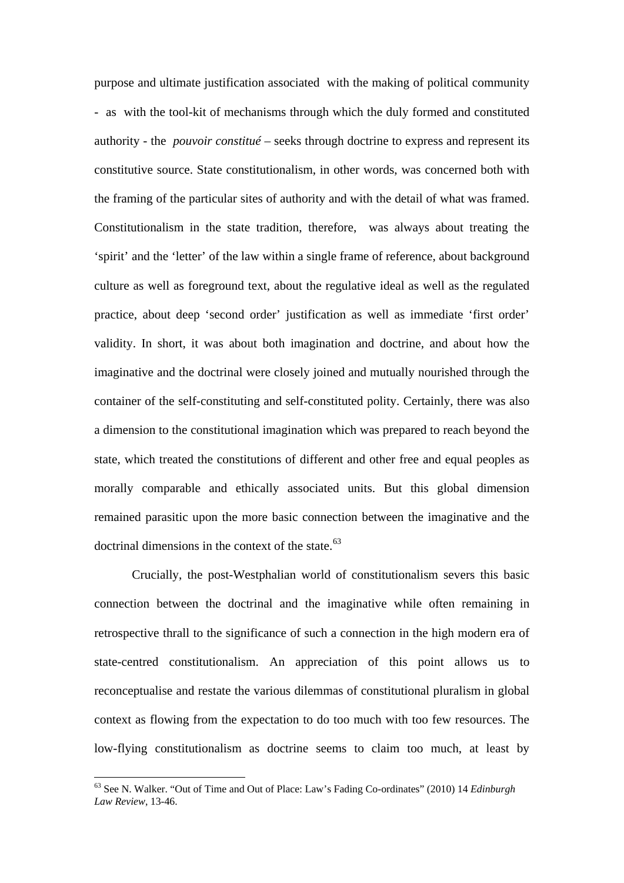purpose and ultimate justification associated with the making of political community - as with the tool-kit of mechanisms through which the duly formed and constituted authority - the *pouvoir constitué* – seeks through doctrine to express and represent its constitutive source. State constitutionalism, in other words, was concerned both with the framing of the particular sites of authority and with the detail of what was framed. Constitutionalism in the state tradition, therefore, was always about treating the 'spirit' and the 'letter' of the law within a single frame of reference, about background culture as well as foreground text, about the regulative ideal as well as the regulated practice, about deep 'second order' justification as well as immediate 'first order' validity. In short, it was about both imagination and doctrine, and about how the imaginative and the doctrinal were closely joined and mutually nourished through the container of the self-constituting and self-constituted polity. Certainly, there was also a dimension to the constitutional imagination which was prepared to reach beyond the state, which treated the constitutions of different and other free and equal peoples as morally comparable and ethically associated units. But this global dimension remained parasitic upon the more basic connection between the imaginative and the doctrinal dimensions in the context of the state.<sup>[63](#page-26-0)</sup>

Crucially, the post-Westphalian world of constitutionalism severs this basic connection between the doctrinal and the imaginative while often remaining in retrospective thrall to the significance of such a connection in the high modern era of state-centred constitutionalism. An appreciation of this point allows us to reconceptualise and restate the various dilemmas of constitutional pluralism in global context as flowing from the expectation to do too much with too few resources. The low-flying constitutionalism as doctrine seems to claim too much, at least by

<span id="page-26-0"></span><sup>63</sup> See N. Walker. "Out of Time and Out of Place: Law's Fading Co-ordinates" (2010) 14 *Edinburgh Law Review*, 13-46.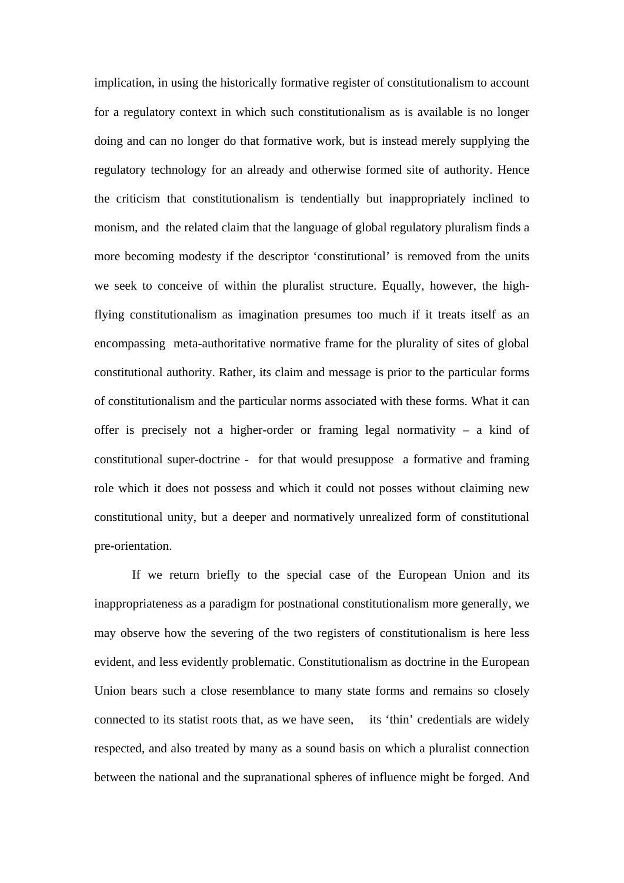implication, in using the historically formative register of constitutionalism to account for a regulatory context in which such constitutionalism as is available is no longer doing and can no longer do that formative work, but is instead merely supplying the regulatory technology for an already and otherwise formed site of authority. Hence the criticism that constitutionalism is tendentially but inappropriately inclined to monism, and the related claim that the language of global regulatory pluralism finds a more becoming modesty if the descriptor 'constitutional' is removed from the units we seek to conceive of within the pluralist structure. Equally, however, the highflying constitutionalism as imagination presumes too much if it treats itself as an encompassing meta-authoritative normative frame for the plurality of sites of global constitutional authority. Rather, its claim and message is prior to the particular forms of constitutionalism and the particular norms associated with these forms. What it can offer is precisely not a higher-order or framing legal normativity – a kind of constitutional super-doctrine - for that would presuppose a formative and framing role which it does not possess and which it could not posses without claiming new constitutional unity, but a deeper and normatively unrealized form of constitutional pre-orientation.

If we return briefly to the special case of the European Union and its inappropriateness as a paradigm for postnational constitutionalism more generally, we may observe how the severing of the two registers of constitutionalism is here less evident, and less evidently problematic. Constitutionalism as doctrine in the European Union bears such a close resemblance to many state forms and remains so closely connected to its statist roots that, as we have seen, its 'thin' credentials are widely respected, and also treated by many as a sound basis on which a pluralist connection between the national and the supranational spheres of influence might be forged. And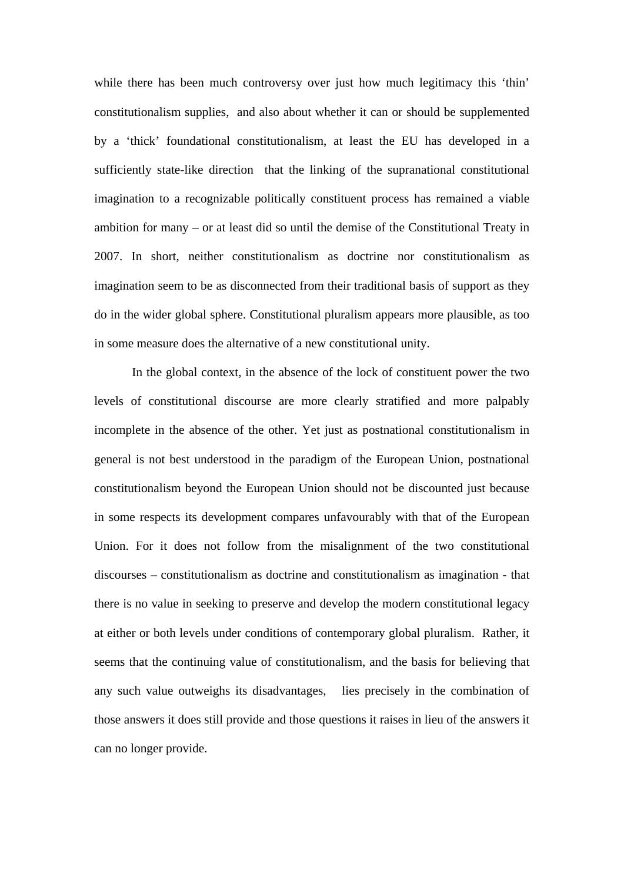while there has been much controversy over just how much legitimacy this 'thin' constitutionalism supplies, and also about whether it can or should be supplemented by a 'thick' foundational constitutionalism, at least the EU has developed in a sufficiently state-like direction that the linking of the supranational constitutional imagination to a recognizable politically constituent process has remained a viable ambition for many – or at least did so until the demise of the Constitutional Treaty in 2007. In short, neither constitutionalism as doctrine nor constitutionalism as imagination seem to be as disconnected from their traditional basis of support as they do in the wider global sphere. Constitutional pluralism appears more plausible, as too in some measure does the alternative of a new constitutional unity.

In the global context, in the absence of the lock of constituent power the two levels of constitutional discourse are more clearly stratified and more palpably incomplete in the absence of the other. Yet just as postnational constitutionalism in general is not best understood in the paradigm of the European Union, postnational constitutionalism beyond the European Union should not be discounted just because in some respects its development compares unfavourably with that of the European Union. For it does not follow from the misalignment of the two constitutional discourses – constitutionalism as doctrine and constitutionalism as imagination - that there is no value in seeking to preserve and develop the modern constitutional legacy at either or both levels under conditions of contemporary global pluralism. Rather, it seems that the continuing value of constitutionalism, and the basis for believing that any such value outweighs its disadvantages, lies precisely in the combination of those answers it does still provide and those questions it raises in lieu of the answers it can no longer provide.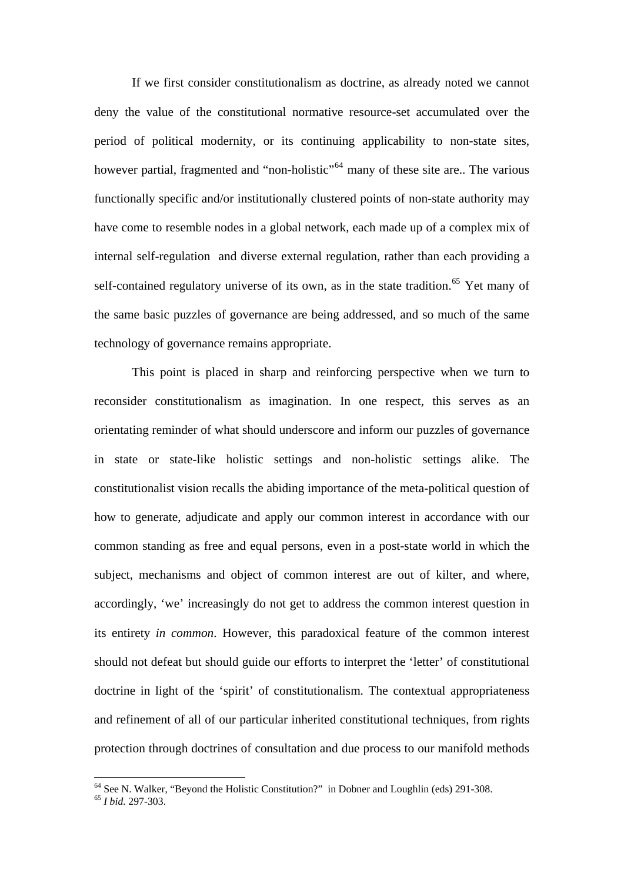If we first consider constitutionalism as doctrine, as already noted we cannot deny the value of the constitutional normative resource-set accumulated over the period of political modernity, or its continuing applicability to non-state sites, however partial, fragmented and "non-holistic"<sup>[64](#page-29-0)</sup> many of these site are.. The various functionally specific and/or institutionally clustered points of non-state authority may have come to resemble nodes in a global network, each made up of a complex mix of internal self-regulation and diverse external regulation, rather than each providing a self-contained regulatory universe of its own, as in the state tradition.<sup>[65](#page-29-1)</sup> Yet many of the same basic puzzles of governance are being addressed, and so much of the same technology of governance remains appropriate.

This point is placed in sharp and reinforcing perspective when we turn to reconsider constitutionalism as imagination. In one respect, this serves as an orientating reminder of what should underscore and inform our puzzles of governance in state or state-like holistic settings and non-holistic settings alike. The constitutionalist vision recalls the abiding importance of the meta-political question of how to generate, adjudicate and apply our common interest in accordance with our common standing as free and equal persons, even in a post-state world in which the subject, mechanisms and object of common interest are out of kilter, and where, accordingly, 'we' increasingly do not get to address the common interest question in its entirety *in common*. However, this paradoxical feature of the common interest should not defeat but should guide our efforts to interpret the 'letter' of constitutional doctrine in light of the 'spirit' of constitutionalism. The contextual appropriateness and refinement of all of our particular inherited constitutional techniques, from rights protection through doctrines of consultation and due process to our manifold methods

<sup>64</sup> See N. Walker, "Beyond the Holistic Constitution?" in Dobner and Loughlin (eds) 291-308.

<span id="page-29-1"></span><span id="page-29-0"></span><sup>65</sup> *I bid.* 297-303.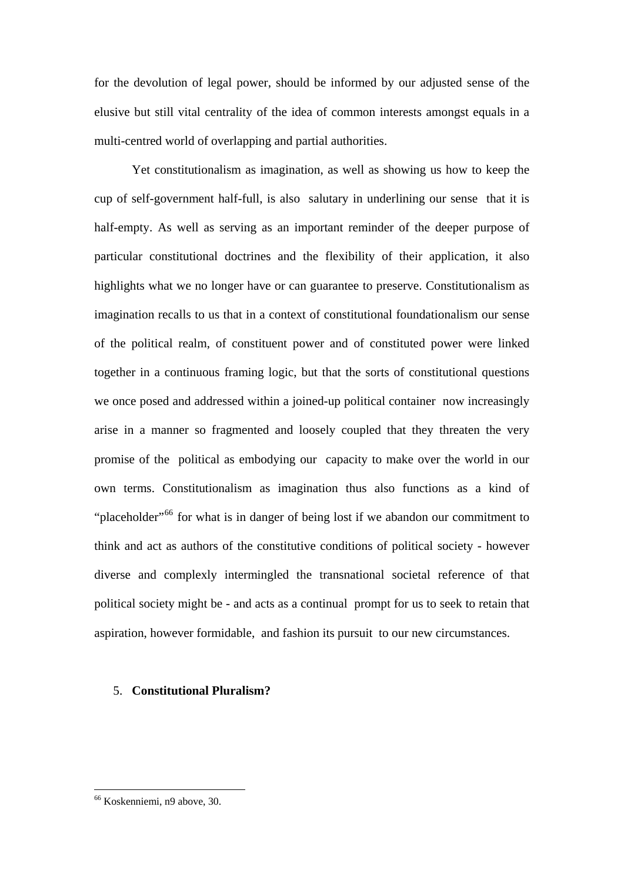for the devolution of legal power, should be informed by our adjusted sense of the elusive but still vital centrality of the idea of common interests amongst equals in a multi-centred world of overlapping and partial authorities.

Yet constitutionalism as imagination, as well as showing us how to keep the cup of self-government half-full, is also salutary in underlining our sense that it is half-empty. As well as serving as an important reminder of the deeper purpose of particular constitutional doctrines and the flexibility of their application, it also highlights what we no longer have or can guarantee to preserve. Constitutionalism as imagination recalls to us that in a context of constitutional foundationalism our sense of the political realm, of constituent power and of constituted power were linked together in a continuous framing logic, but that the sorts of constitutional questions we once posed and addressed within a joined-up political container now increasingly arise in a manner so fragmented and loosely coupled that they threaten the very promise of the political as embodying our capacity to make over the world in our own terms. Constitutionalism as imagination thus also functions as a kind of "placeholder"<sup>[66](#page-30-0)</sup> for what is in danger of being lost if we abandon our commitment to think and act as authors of the constitutive conditions of political society - however diverse and complexly intermingled the transnational societal reference of that political society might be - and acts as a continual prompt for us to seek to retain that aspiration, however formidable, and fashion its pursuit to our new circumstances.

## 5. **Constitutional Pluralism?**

<span id="page-30-0"></span><sup>66</sup> Koskenniemi, n9 above, 30.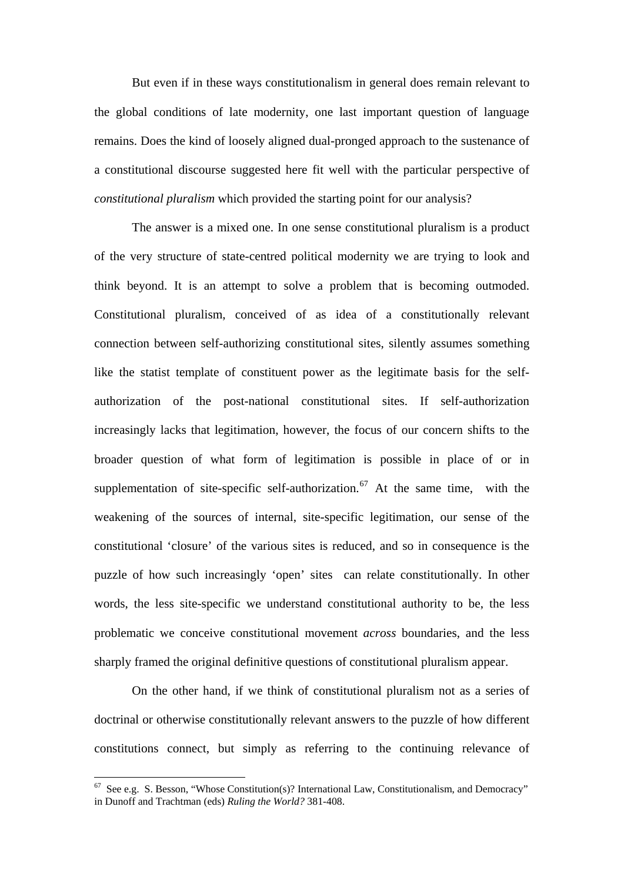But even if in these ways constitutionalism in general does remain relevant to the global conditions of late modernity, one last important question of language remains. Does the kind of loosely aligned dual-pronged approach to the sustenance of a constitutional discourse suggested here fit well with the particular perspective of *constitutional pluralism* which provided the starting point for our analysis?

The answer is a mixed one. In one sense constitutional pluralism is a product of the very structure of state-centred political modernity we are trying to look and think beyond. It is an attempt to solve a problem that is becoming outmoded. Constitutional pluralism, conceived of as idea of a constitutionally relevant connection between self-authorizing constitutional sites, silently assumes something like the statist template of constituent power as the legitimate basis for the selfauthorization of the post-national constitutional sites. If self-authorization increasingly lacks that legitimation, however, the focus of our concern shifts to the broader question of what form of legitimation is possible in place of or in supplementation of site-specific self-authorization.<sup>[67](#page-31-0)</sup> At the same time, with the weakening of the sources of internal, site-specific legitimation, our sense of the constitutional 'closure' of the various sites is reduced, and so in consequence is the puzzle of how such increasingly 'open' sites can relate constitutionally. In other words, the less site-specific we understand constitutional authority to be, the less problematic we conceive constitutional movement *across* boundaries, and the less sharply framed the original definitive questions of constitutional pluralism appear.

On the other hand, if we think of constitutional pluralism not as a series of doctrinal or otherwise constitutionally relevant answers to the puzzle of how different constitutions connect, but simply as referring to the continuing relevance of

<span id="page-31-0"></span> $67$  See e.g. S. Besson, "Whose Constitution(s)? International Law, Constitutionalism, and Democracy" in Dunoff and Trachtman (eds) *Ruling the World?* 381-408.